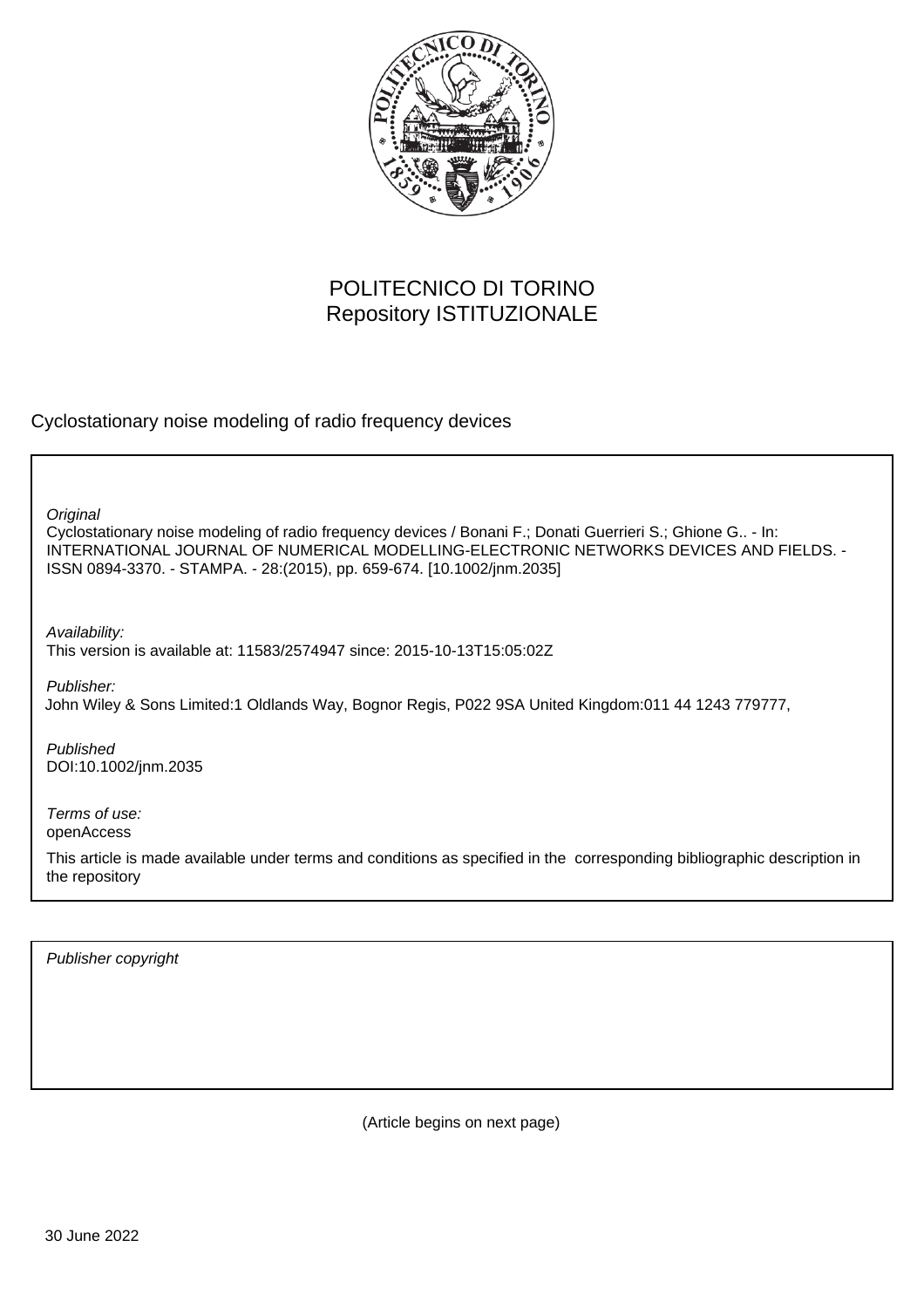

# POLITECNICO DI TORINO Repository ISTITUZIONALE

Cyclostationary noise modeling of radio frequency devices

Cyclostationary noise modeling of radio frequency devices / Bonani F.; Donati Guerrieri S.; Ghione G.. - In: INTERNATIONAL JOURNAL OF NUMERICAL MODELLING-ELECTRONIC NETWORKS DEVICES AND FIELDS. - ISSN 0894-3370. - STAMPA. - 28:(2015), pp. 659-674. [10.1002/jnm.2035] **Original** 

Availability: This version is available at: 11583/2574947 since: 2015-10-13T15:05:02Z

Publisher:

John Wiley & Sons Limited:1 Oldlands Way, Bognor Regis, P022 9SA United Kingdom:011 44 1243 779777,

Published DOI:10.1002/jnm.2035

Terms of use: openAccess

This article is made available under terms and conditions as specified in the corresponding bibliographic description in the repository

Publisher copyright

(Article begins on next page)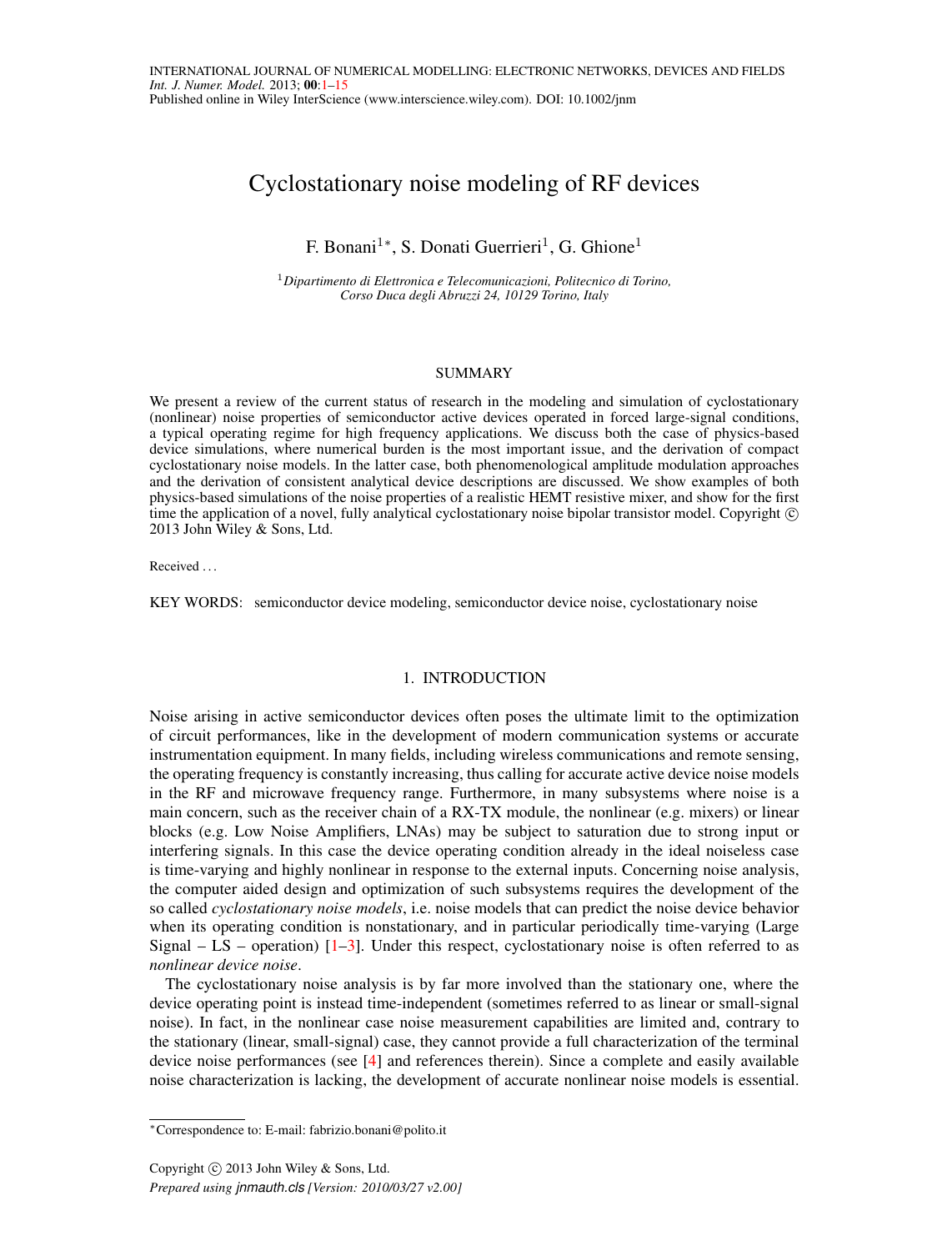## Cyclostationary noise modeling of RF devices

F. Bonani<sup>1</sup>\*, S. Donati Guerrieri<sup>1</sup>, G. Ghione<sup>1</sup>

<sup>1</sup>*Dipartimento di Elettronica e Telecomunicazioni, Politecnico di Torino, Corso Duca degli Abruzzi 24, 10129 Torino, Italy*

## **SUMMARY**

We present a review of the current status of research in the modeling and simulation of cyclostationary (nonlinear) noise properties of semiconductor active devices operated in forced large-signal conditions, a typical operating regime for high frequency applications. We discuss both the case of physics-based device simulations, where numerical burden is the most important issue, and the derivation of compact cyclostationary noise models. In the latter case, both phenomenological amplitude modulation approaches and the derivation of consistent analytical device descriptions are discussed. We show examples of both physics-based simulations of the noise properties of a realistic HEMT resistive mixer, and show for the first time the application of a novel, fully analytical cyclostationary noise bipolar transistor model. Copyright © 2013 John Wiley & Sons, Ltd.

Received . . .

KEY WORDS: semiconductor device modeling, semiconductor device noise, cyclostationary noise

#### 1. INTRODUCTION

Noise arising in active semiconductor devices often poses the ultimate limit to the optimization of circuit performances, like in the development of modern communication systems or accurate instrumentation equipment. In many fields, including wireless communications and remote sensing, the operating frequency is constantly increasing, thus calling for accurate active device noise models in the RF and microwave frequency range. Furthermore, in many subsystems where noise is a main concern, such as the receiver chain of a RX-TX module, the nonlinear (e.g. mixers) or linear blocks (e.g. Low Noise Amplifiers, LNAs) may be subject to saturation due to strong input or interfering signals. In this case the device operating condition already in the ideal noiseless case is time-varying and highly nonlinear in response to the external inputs. Concerning noise analysis, the computer aided design and optimization of such subsystems requires the development of the so called *cyclostationary noise models*, i.e. noise models that can predict the noise device behavior when its operating condition is nonstationary, and in particular periodically time-varying (Large Signal – LS – operation)  $[1-3]$ . Under this respect, cyclostationary noise is often referred to as *nonlinear device noise*.

The cyclostationary noise analysis is by far more involved than the stationary one, where the device operating point is instead time-independent (sometimes referred to as linear or small-signal noise). In fact, in the nonlinear case noise measurement capabilities are limited and, contrary to the stationary (linear, small-signal) case, they cannot provide a full characterization of the terminal device noise performances (see [4] and references therein). Since a complete and easily available noise characterization is lacking, the development of accurate nonlinear noise models is essential.

<sup>∗</sup>Correspondence to: E-mail: fabrizio.bonani@polito.it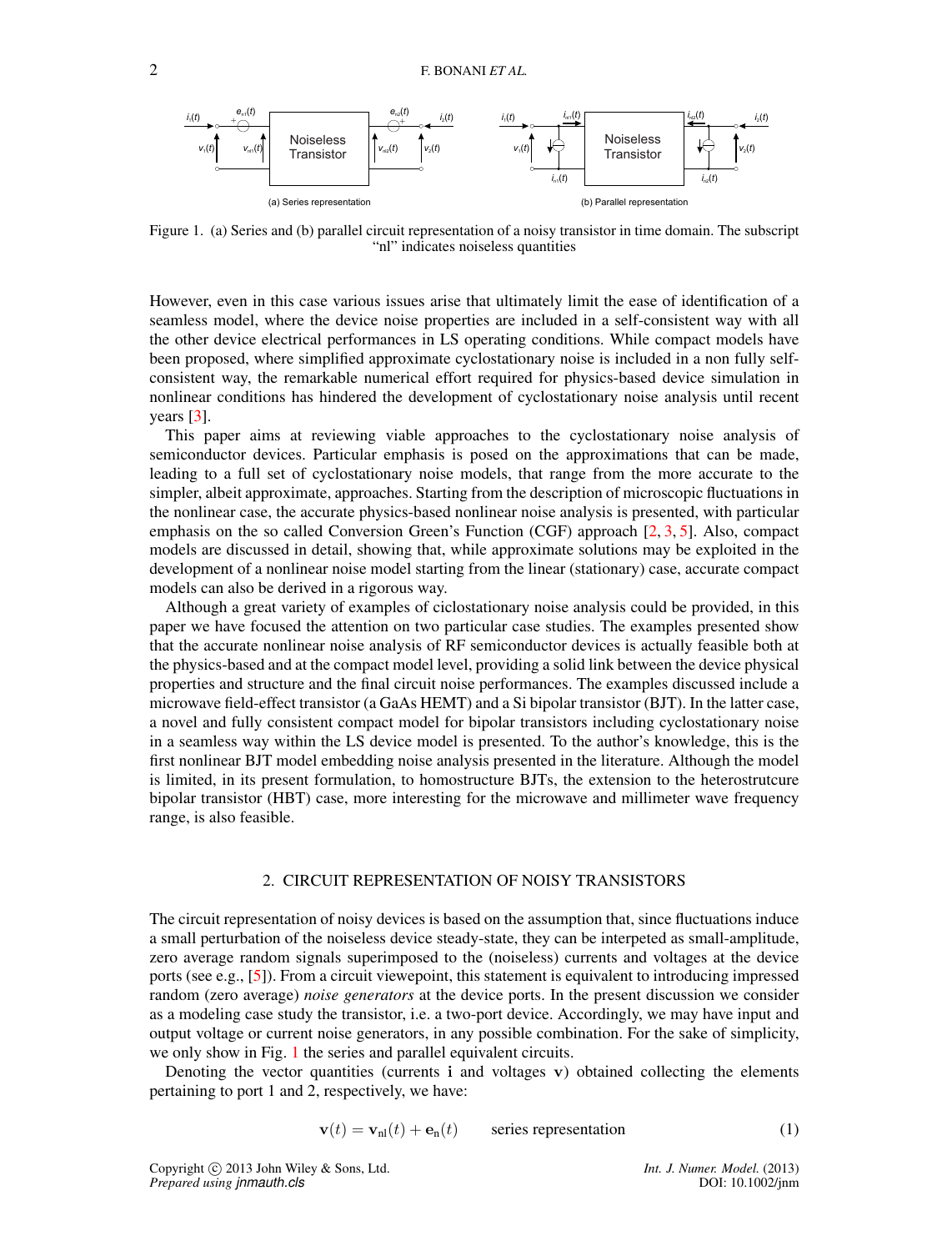

Figure 1. (a) Series and (b) parallel circuit representation of a noisy transistor in time domain. The subscript "nl" indicates noiseless quantities

However, even in this case various issues arise that ultimately limit the ease of identification of a seamless model, where the device noise properties are included in a self-consistent way with all the other device electrical performances in LS operating conditions. While compact models have been proposed, where simplified approximate cyclostationary noise is included in a non fully selfconsistent way, the remarkable numerical effort required for physics-based device simulation in nonlinear conditions has hindered the development of cyclostationary noise analysis until recent years [3].

This paper aims at reviewing viable approaches to the cyclostationary noise analysis of semiconductor devices. Particular emphasis is posed on the approximations that can be made, leading to a full set of cyclostationary noise models, that range from the more accurate to the simpler, albeit approximate, approaches. Starting from the description of microscopic fluctuations in the nonlinear case, the accurate physics-based nonlinear noise analysis is presented, with particular emphasis on the so called Conversion Green's Function (CGF) approach [2, 3, 5]. Also, compact models are discussed in detail, showing that, while approximate solutions may be exploited in the development of a nonlinear noise model starting from the linear (stationary) case, accurate compact models can also be derived in a rigorous way.

Although a great variety of examples of ciclostationary noise analysis could be provided, in this paper we have focused the attention on two particular case studies. The examples presented show that the accurate nonlinear noise analysis of RF semiconductor devices is actually feasible both at the physics-based and at the compact model level, providing a solid link between the device physical properties and structure and the final circuit noise performances. The examples discussed include a microwave field-effect transistor (a GaAs HEMT) and a Si bipolar transistor (BJT). In the latter case, a novel and fully consistent compact model for bipolar transistors including cyclostationary noise in a seamless way within the LS device model is presented. To the author's knowledge, this is the first nonlinear BJT model embedding noise analysis presented in the literature. Although the model is limited, in its present formulation, to homostructure BJTs, the extension to the heterostrutcure bipolar transistor (HBT) case, more interesting for the microwave and millimeter wave frequency range, is also feasible.

#### 2. CIRCUIT REPRESENTATION OF NOISY TRANSISTORS

The circuit representation of noisy devices is based on the assumption that, since fluctuations induce a small perturbation of the noiseless device steady-state, they can be interpeted as small-amplitude, zero average random signals superimposed to the (noiseless) currents and voltages at the device ports (see e.g., [5]). From a circuit viewepoint, this statement is equivalent to introducing impressed random (zero average) *noise generators* at the device ports. In the present discussion we consider as a modeling case study the transistor, i.e. a two-port device. Accordingly, we may have input and output voltage or current noise generators, in any possible combination. For the sake of simplicity, we only show in Fig. 1 the series and parallel equivalent circuits.

Denoting the vector quantities (currents  $\mathbf{i}$  and voltages  $\mathbf{v}$ ) obtained collecting the elements pertaining to port 1 and 2, respectively, we have:

$$
\mathbf{v}(t) = \mathbf{v}_{nl}(t) + \mathbf{e}_n(t) \qquad \text{series representation} \tag{1}
$$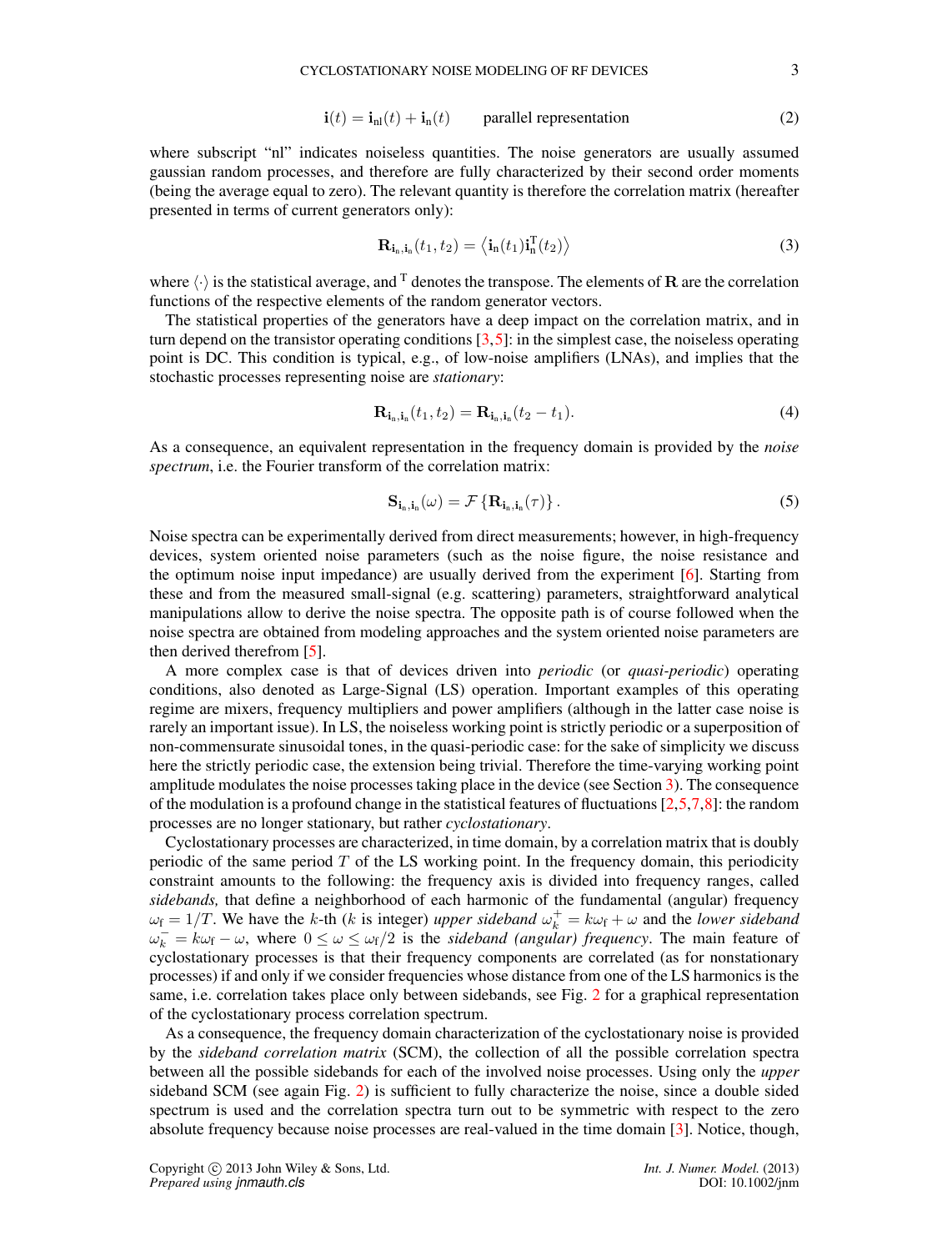$$
\mathbf{i}(t) = \mathbf{i}_{\rm nl}(t) + \mathbf{i}_{\rm n}(t) \qquad \text{parallel representation} \tag{2}
$$

where subscript "nl" indicates noiseless quantities. The noise generators are usually assumed gaussian random processes, and therefore are fully characterized by their second order moments (being the average equal to zero). The relevant quantity is therefore the correlation matrix (hereafter presented in terms of current generators only):

$$
\mathbf{R}_{\mathbf{i}_n,\mathbf{i}_n}(t_1, t_2) = \langle \mathbf{i}_n(t_1) \mathbf{i}_n^{\mathrm{T}}(t_2) \rangle \tag{3}
$$

where  $\langle \cdot \rangle$  is the statistical average, and <sup>T</sup> denotes the transpose. The elements of **R** are the correlation functions of the respective elements of the random generator vectors.

The statistical properties of the generators have a deep impact on the correlation matrix, and in turn depend on the transistor operating conditions  $[3,5]$ : in the simplest case, the noiseless operating point is DC. This condition is typical, e.g., of low-noise amplifiers (LNAs), and implies that the stochastic processes representing noise are *stationary*:

$$
\mathbf{R}_{\mathbf{i}_n, \mathbf{i}_n}(t_1, t_2) = \mathbf{R}_{\mathbf{i}_n, \mathbf{i}_n}(t_2 - t_1). \tag{4}
$$

As a consequence, an equivalent representation in the frequency domain is provided by the *noise spectrum*, i.e. the Fourier transform of the correlation matrix:

$$
\mathbf{S}_{\mathbf{i}_n,\mathbf{i}_n}(\omega) = \mathcal{F}\left\{\mathbf{R}_{\mathbf{i}_n,\mathbf{i}_n}(\tau)\right\}.
$$
 (5)

Noise spectra can be experimentally derived from direct measurements; however, in high-frequency devices, system oriented noise parameters (such as the noise figure, the noise resistance and the optimum noise input impedance) are usually derived from the experiment [6]. Starting from these and from the measured small-signal (e.g. scattering) parameters, straightforward analytical manipulations allow to derive the noise spectra. The opposite path is of course followed when the noise spectra are obtained from modeling approaches and the system oriented noise parameters are then derived therefrom [5].

A more complex case is that of devices driven into *periodic* (or *quasi-periodic*) operating conditions, also denoted as Large-Signal (LS) operation. Important examples of this operating regime are mixers, frequency multipliers and power amplifiers (although in the latter case noise is rarely an important issue). In LS, the noiseless working point is strictly periodic or a superposition of non-commensurate sinusoidal tones, in the quasi-periodic case: for the sake of simplicity we discuss here the strictly periodic case, the extension being trivial. Therefore the time-varying working point amplitude modulates the noise processes taking place in the device (see Section 3). The consequence of the modulation is a profound change in the statistical features of fluctuations  $[2,5,7,8]$ : the random processes are no longer stationary, but rather *cyclostationary*.

Cyclostationary processes are characterized, in time domain, by a correlation matrix that is doubly periodic of the same period  $T$  of the LS working point. In the frequency domain, this periodicity constraint amounts to the following: the frequency axis is divided into frequency ranges, called *sidebands,* that define a neighborhood of each harmonic of the fundamental (angular) frequency  $\omega_f = 1/T$ . We have the k-th (k is integer) *upper sideband*  $\omega_k^+ = k\omega_f + \omega$  and the *lower sideband*  $\omega_k^- = k\omega_f - \omega$ , where  $0 \le \omega \le \omega_f/2$  is the *sideband (angular) frequency*. The main feature of cyclostationary processes is that their frequency components are correlated (as for nonstationary processes) if and only if we consider frequencies whose distance from one of the LS harmonics is the same, i.e. correlation takes place only between sidebands, see Fig. 2 for a graphical representation of the cyclostationary process correlation spectrum.

As a consequence, the frequency domain characterization of the cyclostationary noise is provided by the *sideband correlation matrix* (SCM), the collection of all the possible correlation spectra between all the possible sidebands for each of the involved noise processes. Using only the *upper* sideband SCM (see again Fig. 2) is sufficient to fully characterize the noise, since a double sided spectrum is used and the correlation spectra turn out to be symmetric with respect to the zero absolute frequency because noise processes are real-valued in the time domain [3]. Notice, though,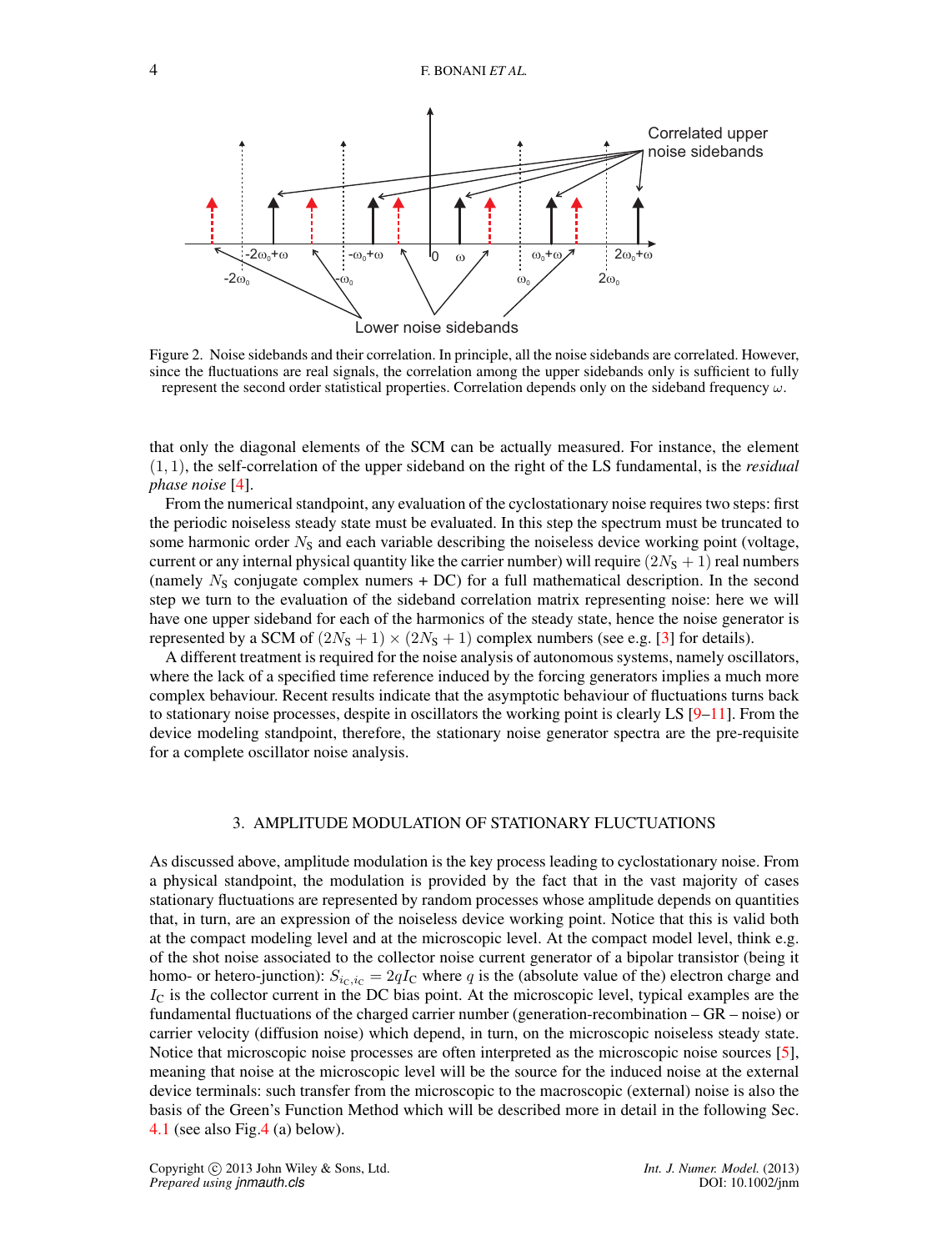

Figure 2. Noise sidebands and their correlation. In principle, all the noise sidebands are correlated. However, since the fluctuations are real signals, the correlation among the upper sidebands only is sufficient to fully represent the second order statistical properties. Correlation depends only on the sideband frequency  $\omega$ .

that only the diagonal elements of the SCM can be actually measured. For instance, the element (1, 1), the self-correlation of the upper sideband on the right of the LS fundamental, is the *residual phase noise* [4].

From the numerical standpoint, any evaluation of the cyclostationary noise requires two steps: first the periodic noiseless steady state must be evaluated. In this step the spectrum must be truncated to some harmonic order  $N<sub>S</sub>$  and each variable describing the noiseless device working point (voltage, current or any internal physical quantity like the carrier number) will require  $(2N<sub>S</sub> + 1)$  real numbers (namely  $N<sub>S</sub>$  conjugate complex numers + DC) for a full mathematical description. In the second step we turn to the evaluation of the sideband correlation matrix representing noise: here we will have one upper sideband for each of the harmonics of the steady state, hence the noise generator is represented by a SCM of  $(2N<sub>S</sub> + 1) \times (2N<sub>S</sub> + 1)$  complex numbers (see e.g. [3] for details).

A different treatment is required for the noise analysis of autonomous systems, namely oscillators, where the lack of a specified time reference induced by the forcing generators implies a much more complex behaviour. Recent results indicate that the asymptotic behaviour of fluctuations turns back to stationary noise processes, despite in oscillators the working point is clearly LS  $[9-11]$ . From the device modeling standpoint, therefore, the stationary noise generator spectra are the pre-requisite for a complete oscillator noise analysis.

## 3. AMPLITUDE MODULATION OF STATIONARY FLUCTUATIONS

As discussed above, amplitude modulation is the key process leading to cyclostationary noise. From a physical standpoint, the modulation is provided by the fact that in the vast majority of cases stationary fluctuations are represented by random processes whose amplitude depends on quantities that, in turn, are an expression of the noiseless device working point. Notice that this is valid both at the compact modeling level and at the microscopic level. At the compact model level, think e.g. of the shot noise associated to the collector noise current generator of a bipolar transistor (being it homo- or hetero-junction):  $S_{i_C,i_C} = 2qI_C$  where q is the (absolute value of the) electron charge and  $I_c$  is the collector current in the DC bias point. At the microscopic level, typical examples are the fundamental fluctuations of the charged carrier number (generation-recombination – GR – noise) or carrier velocity (diffusion noise) which depend, in turn, on the microscopic noiseless steady state. Notice that microscopic noise processes are often interpreted as the microscopic noise sources [5], meaning that noise at the microscopic level will be the source for the induced noise at the external device terminals: such transfer from the microscopic to the macroscopic (external) noise is also the basis of the Green's Function Method which will be described more in detail in the following Sec. 4.1 (see also Fig.4 (a) below).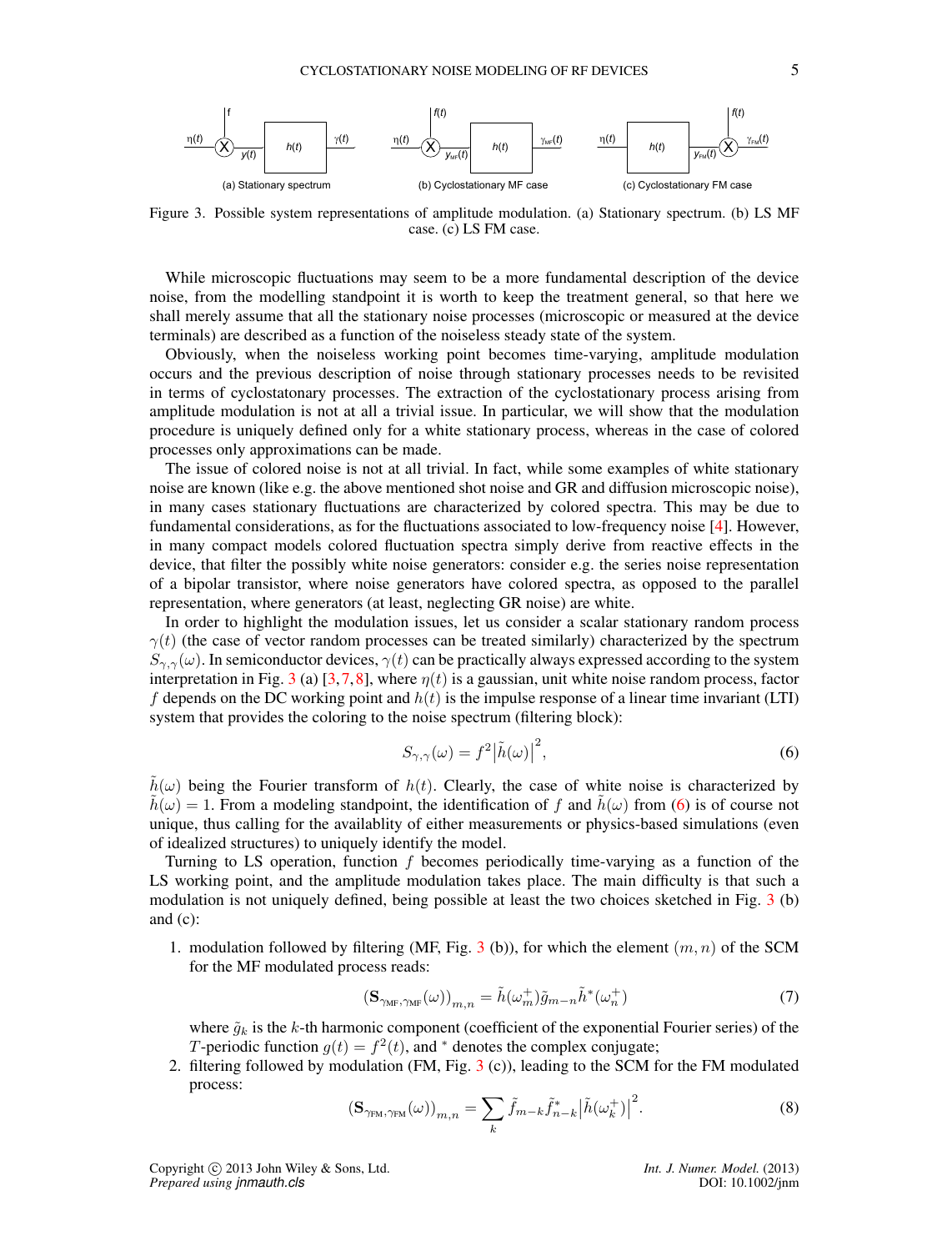

Figure 3. Possible system representations of amplitude modulation. (a) Stationary spectrum. (b) LS MF case. (c) LS FM case.

While microscopic fluctuations may seem to be a more fundamental description of the device noise, from the modelling standpoint it is worth to keep the treatment general, so that here we shall merely assume that all the stationary noise processes (microscopic or measured at the device terminals) are described as a function of the noiseless steady state of the system.

Obviously, when the noiseless working point becomes time-varying, amplitude modulation occurs and the previous description of noise through stationary processes needs to be revisited in terms of cyclostatonary processes. The extraction of the cyclostationary process arising from amplitude modulation is not at all a trivial issue. In particular, we will show that the modulation procedure is uniquely defined only for a white stationary process, whereas in the case of colored processes only approximations can be made.

The issue of colored noise is not at all trivial. In fact, while some examples of white stationary noise are known (like e.g. the above mentioned shot noise and GR and diffusion microscopic noise), in many cases stationary fluctuations are characterized by colored spectra. This may be due to fundamental considerations, as for the fluctuations associated to low-frequency noise [4]. However, in many compact models colored fluctuation spectra simply derive from reactive effects in the device, that filter the possibly white noise generators: consider e.g. the series noise representation of a bipolar transistor, where noise generators have colored spectra, as opposed to the parallel representation, where generators (at least, neglecting GR noise) are white.

In order to highlight the modulation issues, let us consider a scalar stationary random process  $\gamma(t)$  (the case of vector random processes can be treated similarly) characterized by the spectrum  $S_{\gamma,\gamma}(\omega)$ . In semiconductor devices,  $\gamma(t)$  can be practically always expressed according to the system interpretation in Fig. 3 (a) [3,7,8], where  $\eta(t)$  is a gaussian, unit white noise random process, factor f depends on the DC working point and  $h(t)$  is the impulse response of a linear time invariant (LTI) system that provides the coloring to the noise spectrum (filtering block):

$$
S_{\gamma,\gamma}(\omega) = f^2 |\tilde{h}(\omega)|^2,
$$
\n(6)

 $\tilde{h}(\omega)$  being the Fourier transform of  $h(t)$ . Clearly, the case of white noise is characterized by  $h(\omega) = 1$ . From a modeling standpoint, the identification of f and  $h(\omega)$  from (6) is of course not unique, thus calling for the availablity of either measurements or physics-based simulations (even of idealized structures) to uniquely identify the model.

Turning to LS operation, function f becomes periodically time-varying as a function of the LS working point, and the amplitude modulation takes place. The main difficulty is that such a modulation is not uniquely defined, being possible at least the two choices sketched in Fig. 3 (b) and (c):

1. modulation followed by filtering (MF, Fig. 3 (b)), for which the element  $(m, n)$  of the SCM for the MF modulated process reads:

$$
\left(\mathbf{S}_{\gamma_{\mathrm{MF}},\gamma_{\mathrm{MF}}}(\omega)\right)_{m,n} = \tilde{h}(\omega_m^+) \tilde{g}_{m-n} \tilde{h}^*(\omega_n^+) \tag{7}
$$

where  $\tilde{g}_k$  is the k-th harmonic component (coefficient of the exponential Fourier series) of the T-periodic function  $g(t) = f^2(t)$ , and  $*$  denotes the complex conjugate;

2. filtering followed by modulation (FM, Fig. 3 (c)), leading to the SCM for the FM modulated process:

$$
\left(\mathbf{S}_{\gamma_{\text{FM}},\gamma_{\text{FM}}}(\omega)\right)_{m,n} = \sum_{k} \tilde{f}_{m-k} \tilde{f}_{n-k}^* \left|\tilde{h}(\omega_k^+)\right|^2. \tag{8}
$$

Copyright c 2013 John Wiley & Sons, Ltd. *Int. J. Numer. Model.* (2013) *Prepared using jnmauth.cls* DOI: 10.1002/jnm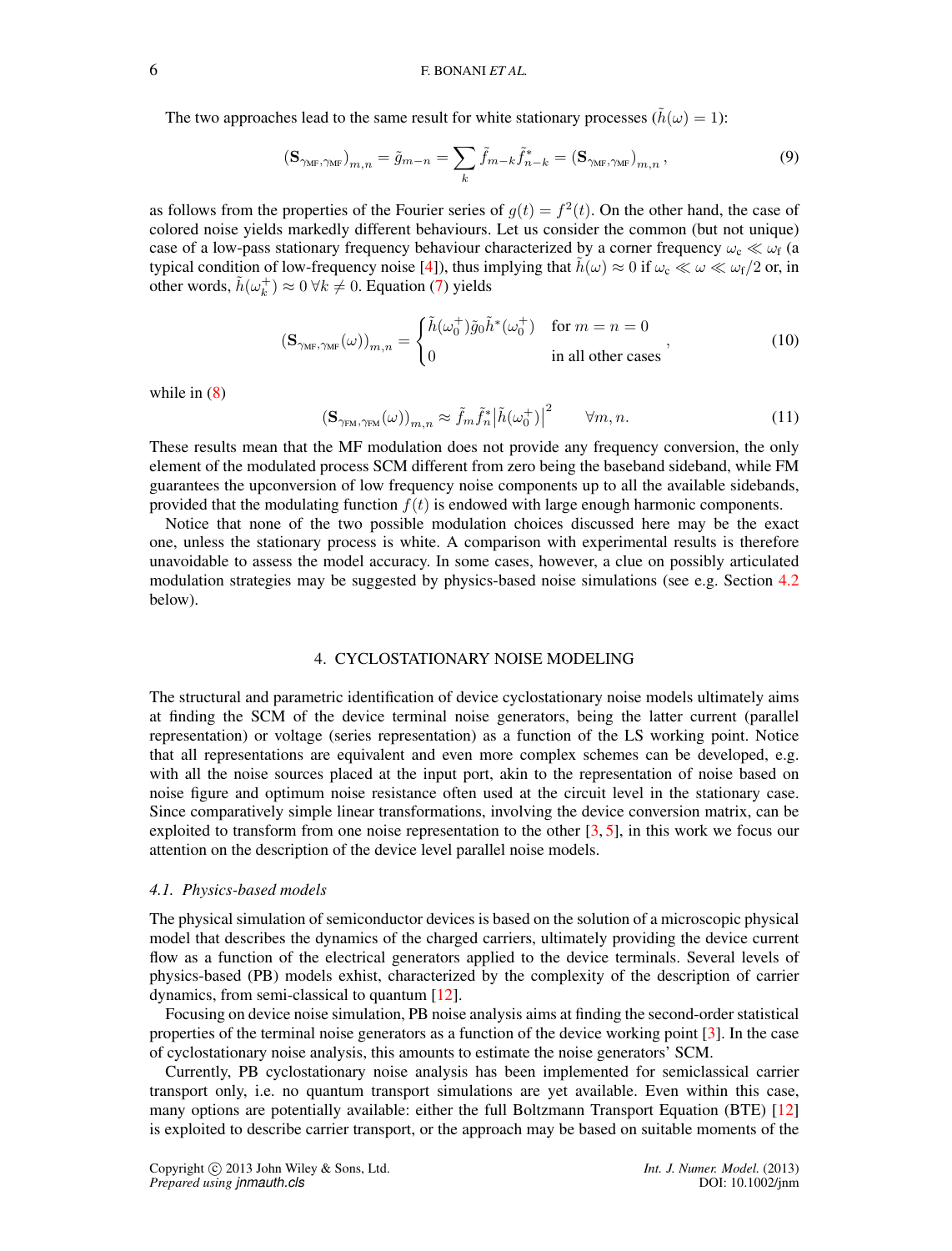The two approaches lead to the same result for white stationary processes ( $\tilde{h}(\omega) = 1$ ):

$$
\left(\mathbf{S}_{\gamma_{\mathrm{MF}},\gamma_{\mathrm{MF}}}\right)_{m,n} = \tilde{g}_{m-n} = \sum_{k} \tilde{f}_{m-k} \tilde{f}_{n-k}^{*} = \left(\mathbf{S}_{\gamma_{\mathrm{MF}},\gamma_{\mathrm{MF}}}\right)_{m,n},\tag{9}
$$

as follows from the properties of the Fourier series of  $g(t) = f^2(t)$ . On the other hand, the case of colored noise yields markedly different behaviours. Let us consider the common (but not unique) case of a low-pass stationary frequency behaviour characterized by a corner frequency  $\omega_c \ll \omega_f$  (a typical condition of low-frequency noise [4]), thus implying that  $\tilde{h}(\omega) \approx 0$  if  $\omega_c \ll \omega \ll \omega_f/2$  or, in other words,  $\tilde{h}(\omega_k^+) \approx 0 \ \forall k \neq 0$ . Equation (7) yields

$$
\left(\mathbf{S}_{\gamma_{\mathrm{MF}},\gamma_{\mathrm{MF}}}(\omega)\right)_{m,n} = \begin{cases} \tilde{h}(\omega_0^+) \tilde{g}_0 \tilde{h}^*(\omega_0^+) & \text{for } m = n = 0\\ 0 & \text{in all other cases} \end{cases},\tag{10}
$$

while in  $(8)$ 

$$
\left(\mathbf{S}_{\gamma_{\text{FM}},\gamma_{\text{FM}}}(\omega)\right)_{m,n} \approx \tilde{f}_m \tilde{f}_n^* \left|\tilde{h}(\omega_0^+)\right|^2 \qquad \forall m,n. \tag{11}
$$

These results mean that the MF modulation does not provide any frequency conversion, the only element of the modulated process SCM different from zero being the baseband sideband, while FM guarantees the upconversion of low frequency noise components up to all the available sidebands, provided that the modulating function  $f(t)$  is endowed with large enough harmonic components.

Notice that none of the two possible modulation choices discussed here may be the exact one, unless the stationary process is white. A comparison with experimental results is therefore unavoidable to assess the model accuracy. In some cases, however, a clue on possibly articulated modulation strategies may be suggested by physics-based noise simulations (see e.g. Section 4.2 below).

#### 4. CYCLOSTATIONARY NOISE MODELING

The structural and parametric identification of device cyclostationary noise models ultimately aims at finding the SCM of the device terminal noise generators, being the latter current (parallel representation) or voltage (series representation) as a function of the LS working point. Notice that all representations are equivalent and even more complex schemes can be developed, e.g. with all the noise sources placed at the input port, akin to the representation of noise based on noise figure and optimum noise resistance often used at the circuit level in the stationary case. Since comparatively simple linear transformations, involving the device conversion matrix, can be exploited to transform from one noise representation to the other  $[3, 5]$ , in this work we focus our attention on the description of the device level parallel noise models.

## *4.1. Physics-based models*

The physical simulation of semiconductor devices is based on the solution of a microscopic physical model that describes the dynamics of the charged carriers, ultimately providing the device current flow as a function of the electrical generators applied to the device terminals. Several levels of physics-based (PB) models exhist, characterized by the complexity of the description of carrier dynamics, from semi-classical to quantum [12].

Focusing on device noise simulation, PB noise analysis aims at finding the second-order statistical properties of the terminal noise generators as a function of the device working point [3]. In the case of cyclostationary noise analysis, this amounts to estimate the noise generators' SCM.

Currently, PB cyclostationary noise analysis has been implemented for semiclassical carrier transport only, i.e. no quantum transport simulations are yet available. Even within this case, many options are potentially available: either the full Boltzmann Transport Equation (BTE) [12] is exploited to describe carrier transport, or the approach may be based on suitable moments of the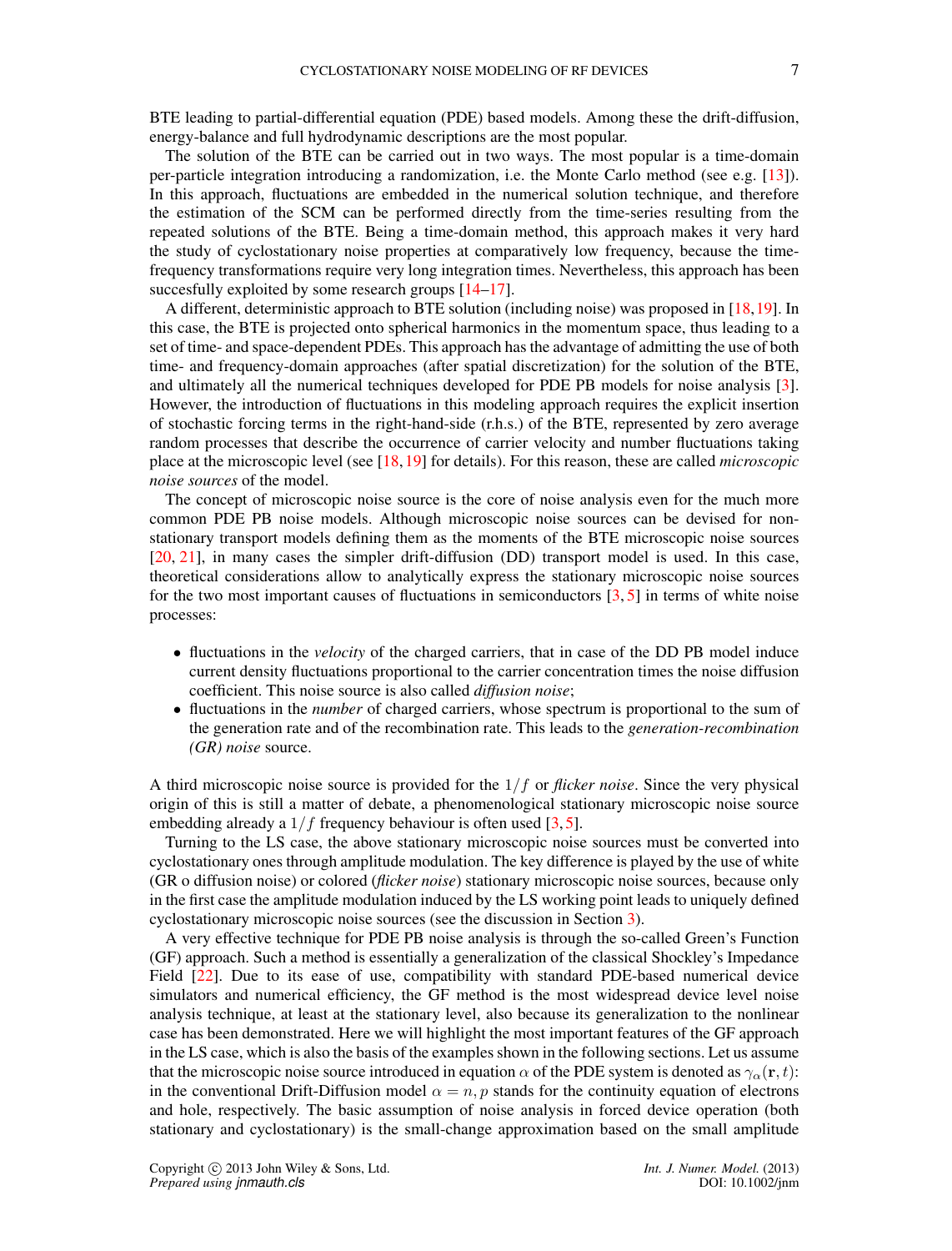BTE leading to partial-differential equation (PDE) based models. Among these the drift-diffusion, energy-balance and full hydrodynamic descriptions are the most popular.

The solution of the BTE can be carried out in two ways. The most popular is a time-domain per-particle integration introducing a randomization, i.e. the Monte Carlo method (see e.g. [13]). In this approach, fluctuations are embedded in the numerical solution technique, and therefore the estimation of the SCM can be performed directly from the time-series resulting from the repeated solutions of the BTE. Being a time-domain method, this approach makes it very hard the study of cyclostationary noise properties at comparatively low frequency, because the timefrequency transformations require very long integration times. Nevertheless, this approach has been succesfully exploited by some research groups  $[14-17]$ .

A different, deterministic approach to BTE solution (including noise) was proposed in [18,19]. In this case, the BTE is projected onto spherical harmonics in the momentum space, thus leading to a set of time- and space-dependent PDEs. This approach has the advantage of admitting the use of both time- and frequency-domain approaches (after spatial discretization) for the solution of the BTE, and ultimately all the numerical techniques developed for PDE PB models for noise analysis [3]. However, the introduction of fluctuations in this modeling approach requires the explicit insertion of stochastic forcing terms in the right-hand-side (r.h.s.) of the BTE, represented by zero average random processes that describe the occurrence of carrier velocity and number fluctuations taking place at the microscopic level (see [18,19] for details). For this reason, these are called *microscopic noise sources* of the model.

The concept of microscopic noise source is the core of noise analysis even for the much more common PDE PB noise models. Although microscopic noise sources can be devised for nonstationary transport models defining them as the moments of the BTE microscopic noise sources [20, 21], in many cases the simpler drift-diffusion (DD) transport model is used. In this case, theoretical considerations allow to analytically express the stationary microscopic noise sources for the two most important causes of fluctuations in semiconductors [3, 5] in terms of white noise processes:

- fluctuations in the *velocity* of the charged carriers, that in case of the DD PB model induce current density fluctuations proportional to the carrier concentration times the noise diffusion coefficient. This noise source is also called *diffusion noise*;
- fluctuations in the *number* of charged carriers, whose spectrum is proportional to the sum of the generation rate and of the recombination rate. This leads to the *generation-recombination (GR) noise* source.

A third microscopic noise source is provided for the 1/f or *flicker noise*. Since the very physical origin of this is still a matter of debate, a phenomenological stationary microscopic noise source embedding already a  $1/f$  frequency behaviour is often used [3,5].

Turning to the LS case, the above stationary microscopic noise sources must be converted into cyclostationary ones through amplitude modulation. The key difference is played by the use of white (GR o diffusion noise) or colored (*flicker noise*) stationary microscopic noise sources, because only in the first case the amplitude modulation induced by the LS working point leads to uniquely defined cyclostationary microscopic noise sources (see the discussion in Section 3).

A very effective technique for PDE PB noise analysis is through the so-called Green's Function (GF) approach. Such a method is essentially a generalization of the classical Shockley's Impedance Field [22]. Due to its ease of use, compatibility with standard PDE-based numerical device simulators and numerical efficiency, the GF method is the most widespread device level noise analysis technique, at least at the stationary level, also because its generalization to the nonlinear case has been demonstrated. Here we will highlight the most important features of the GF approach in the LS case, which is also the basis of the examples shown in the following sections. Let us assume that the microscopic noise source introduced in equation  $\alpha$  of the PDE system is denoted as  $\gamma_{\alpha}(\mathbf{r},t)$ : in the conventional Drift-Diffusion model  $\alpha = n, p$  stands for the continuity equation of electrons and hole, respectively. The basic assumption of noise analysis in forced device operation (both stationary and cyclostationary) is the small-change approximation based on the small amplitude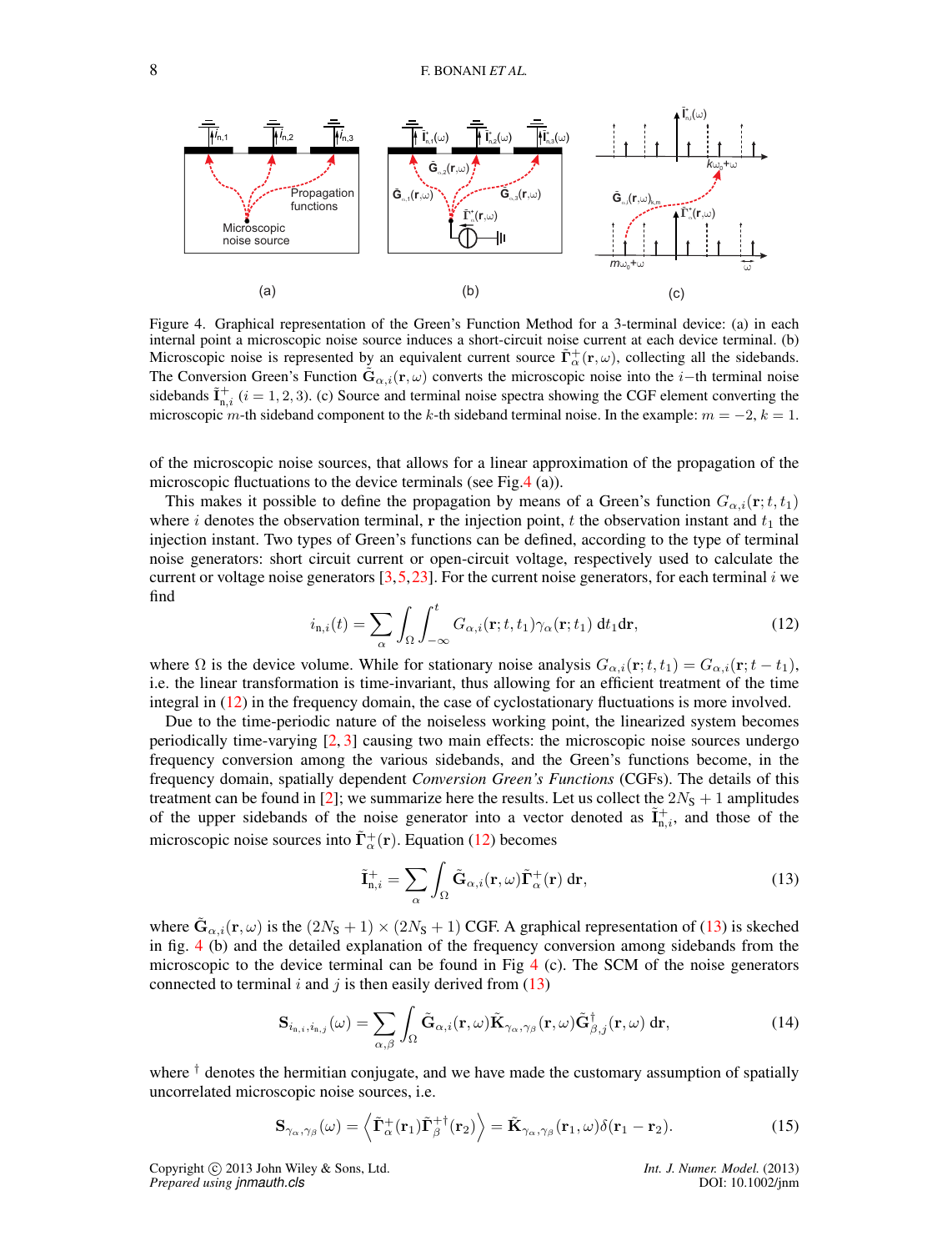

Figure 4. Graphical representation of the Green's Function Method for a 3-terminal device: (a) in each internal point a microscopic noise source induces a short-circuit noise current at each device terminal. (b) Microscopic noise is represented by an equivalent current source  $\tilde{\Gamma}_{\alpha}^{+}(\mathbf{r}, \omega)$ , collecting all the sidebands. The Conversion Green's Function  $\tilde{G}_{\alpha,i}(\mathbf{r},\omega)$  converts the microscopic noise into the *i*−th terminal noise sidebands  $\tilde{\mathbf{I}}_{n,i}^+$  ( $i = 1, 2, 3$ ). (c) Source and terminal noise spectra showing the CGF element converting the microscopic m-th sideband component to the k-th sideband terminal noise. In the example:  $m = -2$ ,  $k = 1$ .

of the microscopic noise sources, that allows for a linear approximation of the propagation of the microscopic fluctuations to the device terminals (see Fig.4 (a)).

This makes it possible to define the propagation by means of a Green's function  $G_{\alpha,i}(\mathbf{r};t,t_1)$ where i denotes the observation terminal, r the injection point, t the observation instant and  $t_1$  the injection instant. Two types of Green's functions can be defined, according to the type of terminal noise generators: short circuit current or open-circuit voltage, respectively used to calculate the current or voltage noise generators  $\lceil 3, 5, 23 \rceil$ . For the current noise generators, for each terminal i we find

$$
i_{\mathbf{n},i}(t) = \sum_{\alpha} \int_{\Omega} \int_{-\infty}^{t} G_{\alpha,i}(\mathbf{r}; t, t_1) \gamma_{\alpha}(\mathbf{r}; t_1) dt_1 d\mathbf{r},
$$
\n(12)

where  $\Omega$  is the device volume. While for stationary noise analysis  $G_{\alpha,i}(\mathbf{r}; t, t_1) = G_{\alpha,i}(\mathbf{r}; t - t_1)$ , i.e. the linear transformation is time-invariant, thus allowing for an efficient treatment of the time integral in (12) in the frequency domain, the case of cyclostationary fluctuations is more involved.

Due to the time-periodic nature of the noiseless working point, the linearized system becomes periodically time-varying  $[2, 3]$  causing two main effects: the microscopic noise sources undergo frequency conversion among the various sidebands, and the Green's functions become, in the frequency domain, spatially dependent *Conversion Green's Functions* (CGFs). The details of this treatment can be found in [2]; we summarize here the results. Let us collect the  $2N<sub>S</sub> + 1$  amplitudes of the upper sidebands of the noise generator into a vector denoted as  $\tilde{I}_{n,i}^+$ , and those of the microscopic noise sources into  $\tilde{\Gamma}_{\alpha}^{+}(\mathbf{r})$ . Equation (12) becomes

$$
\tilde{\mathbf{I}}_{n,i}^{+} = \sum_{\alpha} \int_{\Omega} \tilde{\mathbf{G}}_{\alpha,i}(\mathbf{r}, \omega) \tilde{\mathbf{\Gamma}}_{\alpha}^{+}(\mathbf{r}) \, \mathrm{d}\mathbf{r},\tag{13}
$$

where  $\tilde{\mathbf{G}}_{\alpha,i}(\mathbf{r},\omega)$  is the  $(2N_S+1) \times (2N_S+1)$  CGF. A graphical representation of (13) is skeched in fig. 4 (b) and the detailed explanation of the frequency conversion among sidebands from the microscopic to the device terminal can be found in Fig  $4$  (c). The SCM of the noise generators connected to terminal i and j is then easily derived from  $(13)$ 

$$
\mathbf{S}_{i_{\mathrm{n},i},i_{\mathrm{n},j}}(\omega) = \sum_{\alpha,\beta} \int_{\Omega} \tilde{\mathbf{G}}_{\alpha,i}(\mathbf{r},\omega) \tilde{\mathbf{K}}_{\gamma_{\alpha},\gamma_{\beta}}(\mathbf{r},\omega) \tilde{\mathbf{G}}_{\beta,j}^{\dagger}(\mathbf{r},\omega) d\mathbf{r},\tag{14}
$$

where  $\dagger$  denotes the hermitian conjugate, and we have made the customary assumption of spatially uncorrelated microscopic noise sources, i.e.

$$
\mathbf{S}_{\gamma_{\alpha},\gamma_{\beta}}(\omega) = \left\langle \tilde{\mathbf{\Gamma}}_{\alpha}^{+}(\mathbf{r}_{1})\tilde{\mathbf{\Gamma}}_{\beta}^{+ \dagger}(\mathbf{r}_{2}) \right\rangle = \tilde{\mathbf{K}}_{\gamma_{\alpha},\gamma_{\beta}}(\mathbf{r}_{1},\omega)\delta(\mathbf{r}_{1} - \mathbf{r}_{2}). \tag{15}
$$

Copyright c 2013 John Wiley & Sons, Ltd. *Int. J. Numer. Model.* (2013) *Prepared using jnmauth.cls* DOI: 10.1002/jnm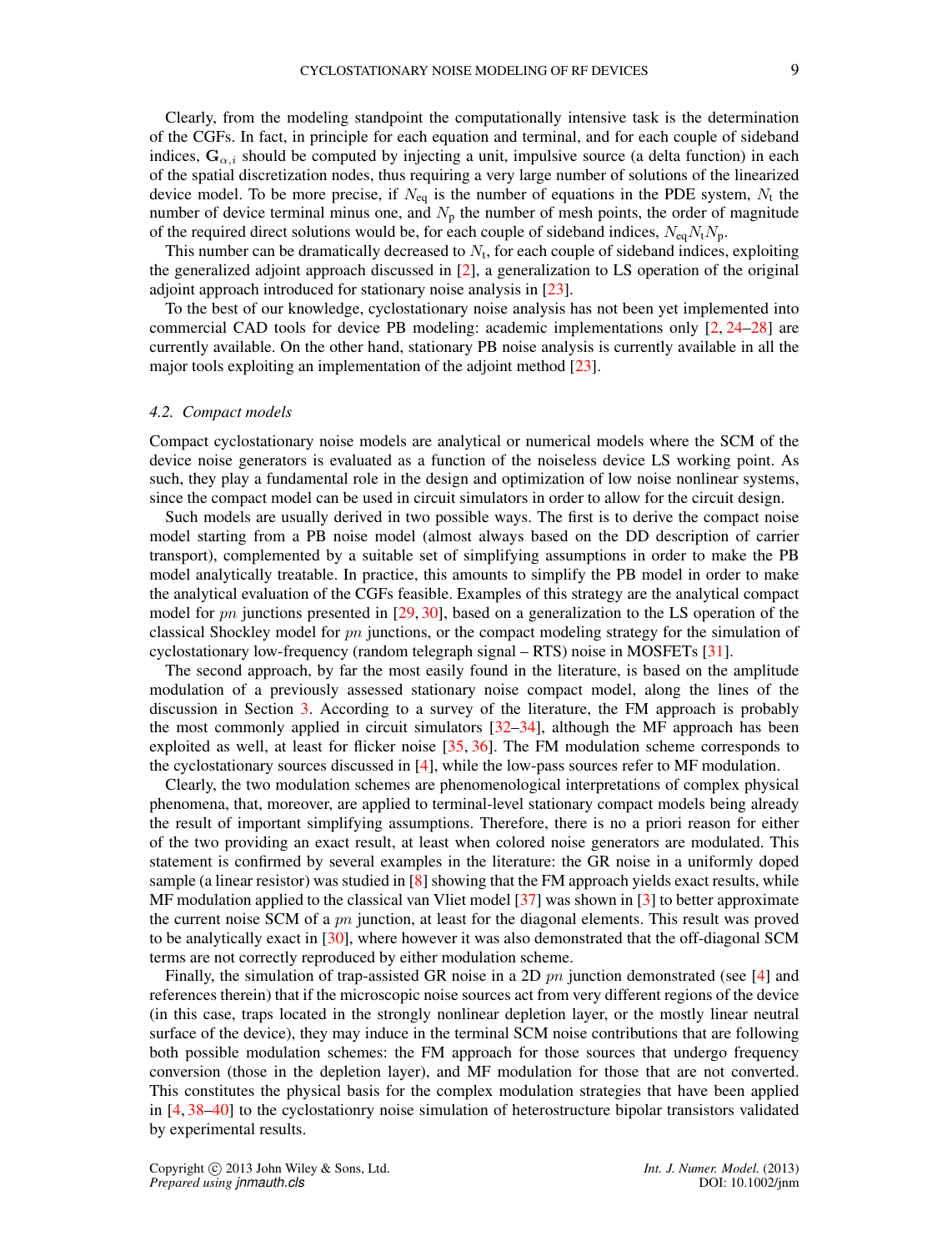Clearly, from the modeling standpoint the computationally intensive task is the determination of the CGFs. In fact, in principle for each equation and terminal, and for each couple of sideband indices,  $\mathbf{G}_{\alpha,i}$  should be computed by injecting a unit, impulsive source (a delta function) in each of the spatial discretization nodes, thus requiring a very large number of solutions of the linearized device model. To be more precise, if  $N_{eq}$  is the number of equations in the PDE system,  $N_t$  the number of device terminal minus one, and  $N<sub>p</sub>$  the number of mesh points, the order of magnitude of the required direct solutions would be, for each couple of sideband indices,  $N_{eq}N_tN_p$ .

This number can be dramatically decreased to  $N_t$ , for each couple of sideband indices, exploiting the generalized adjoint approach discussed in [2], a generalization to LS operation of the original adjoint approach introduced for stationary noise analysis in [23].

To the best of our knowledge, cyclostationary noise analysis has not been yet implemented into commercial CAD tools for device PB modeling: academic implementations only [2, 24–28] are currently available. On the other hand, stationary PB noise analysis is currently available in all the major tools exploiting an implementation of the adjoint method [23].

## *4.2. Compact models*

Compact cyclostationary noise models are analytical or numerical models where the SCM of the device noise generators is evaluated as a function of the noiseless device LS working point. As such, they play a fundamental role in the design and optimization of low noise nonlinear systems, since the compact model can be used in circuit simulators in order to allow for the circuit design.

Such models are usually derived in two possible ways. The first is to derive the compact noise model starting from a PB noise model (almost always based on the DD description of carrier transport), complemented by a suitable set of simplifying assumptions in order to make the PB model analytically treatable. In practice, this amounts to simplify the PB model in order to make the analytical evaluation of the CGFs feasible. Examples of this strategy are the analytical compact model for pn junctions presented in  $[29, 30]$ , based on a generalization to the LS operation of the classical Shockley model for  $pn$  junctions, or the compact modeling strategy for the simulation of cyclostationary low-frequency (random telegraph signal – RTS) noise in MOSFETs [31].

The second approach, by far the most easily found in the literature, is based on the amplitude modulation of a previously assessed stationary noise compact model, along the lines of the discussion in Section 3. According to a survey of the literature, the FM approach is probably the most commonly applied in circuit simulators [32–34], although the MF approach has been exploited as well, at least for flicker noise [35, 36]. The FM modulation scheme corresponds to the cyclostationary sources discussed in [4], while the low-pass sources refer to MF modulation.

Clearly, the two modulation schemes are phenomenological interpretations of complex physical phenomena, that, moreover, are applied to terminal-level stationary compact models being already the result of important simplifying assumptions. Therefore, there is no a priori reason for either of the two providing an exact result, at least when colored noise generators are modulated. This statement is confirmed by several examples in the literature: the GR noise in a uniformly doped sample (a linear resistor) was studied in [8] showing that the FM approach yields exact results, while MF modulation applied to the classical van Vliet model [37] was shown in [3] to better approximate the current noise SCM of a  $pn$  junction, at least for the diagonal elements. This result was proved to be analytically exact in [30], where however it was also demonstrated that the off-diagonal SCM terms are not correctly reproduced by either modulation scheme.

Finally, the simulation of trap-assisted GR noise in a 2D  $pn$  junction demonstrated (see [4] and references therein) that if the microscopic noise sources act from very different regions of the device (in this case, traps located in the strongly nonlinear depletion layer, or the mostly linear neutral surface of the device), they may induce in the terminal SCM noise contributions that are following both possible modulation schemes: the FM approach for those sources that undergo frequency conversion (those in the depletion layer), and MF modulation for those that are not converted. This constitutes the physical basis for the complex modulation strategies that have been applied in [4, 38–40] to the cyclostationry noise simulation of heterostructure bipolar transistors validated by experimental results.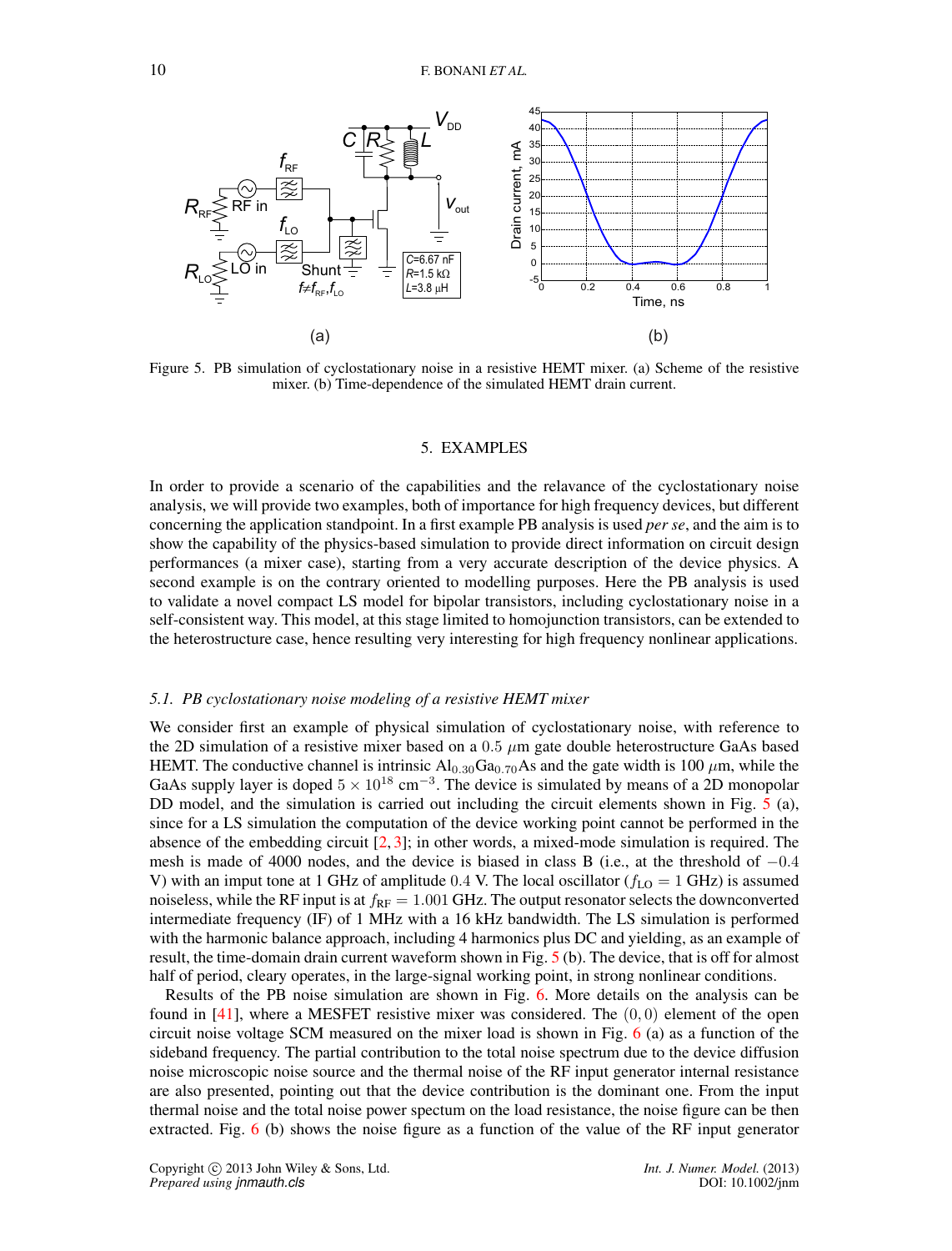

Figure 5. PB simulation of cyclostationary noise in a resistive HEMT mixer. (a) Scheme of the resistive mixer. (b) Time-dependence of the simulated HEMT drain current.

#### 5. EXAMPLES

In order to provide a scenario of the capabilities and the relavance of the cyclostationary noise analysis, we will provide two examples, both of importance for high frequency devices, but different concerning the application standpoint. In a first example PB analysis is used *per se*, and the aim is to show the capability of the physics-based simulation to provide direct information on circuit design performances (a mixer case), starting from a very accurate description of the device physics. A second example is on the contrary oriented to modelling purposes. Here the PB analysis is used to validate a novel compact LS model for bipolar transistors, including cyclostationary noise in a self-consistent way. This model, at this stage limited to homojunction transistors, can be extended to the heterostructure case, hence resulting very interesting for high frequency nonlinear applications.

#### *5.1. PB cyclostationary noise modeling of a resistive HEMT mixer*

We consider first an example of physical simulation of cyclostationary noise, with reference to the 2D simulation of a resistive mixer based on a  $0.5 \mu m$  gate double heterostructure GaAs based HEMT. The conductive channel is intrinsic  $Al_{0.30}Ga_{0.70}As$  and the gate width is 100  $\mu$ m, while the GaAs supply layer is doped  $5 \times 10^{18}$  cm<sup>-3</sup>. The device is simulated by means of a 2D monopolar DD model, and the simulation is carried out including the circuit elements shown in Fig. 5 (a), since for a LS simulation the computation of the device working point cannot be performed in the absence of the embedding circuit [2, 3]; in other words, a mixed-mode simulation is required. The mesh is made of 4000 nodes, and the device is biased in class B (i.e., at the threshold of  $-0.4$ V) with an imput tone at 1 GHz of amplitude 0.4 V. The local oscillator ( $f_{\text{LO}} = 1$  GHz) is assumed noiseless, while the RF input is at  $f_{RF} = 1.001$  GHz. The output resonator selects the downconverted intermediate frequency (IF) of 1 MHz with a 16 kHz bandwidth. The LS simulation is performed with the harmonic balance approach, including 4 harmonics plus DC and yielding, as an example of result, the time-domain drain current waveform shown in Fig. 5 (b). The device, that is off for almost half of period, cleary operates, in the large-signal working point, in strong nonlinear conditions.

Results of the PB noise simulation are shown in Fig. 6. More details on the analysis can be found in  $[41]$ , where a MESFET resistive mixer was considered. The  $(0, 0)$  element of the open circuit noise voltage SCM measured on the mixer load is shown in Fig. 6 (a) as a function of the sideband frequency. The partial contribution to the total noise spectrum due to the device diffusion noise microscopic noise source and the thermal noise of the RF input generator internal resistance are also presented, pointing out that the device contribution is the dominant one. From the input thermal noise and the total noise power spectum on the load resistance, the noise figure can be then extracted. Fig. 6 (b) shows the noise figure as a function of the value of the RF input generator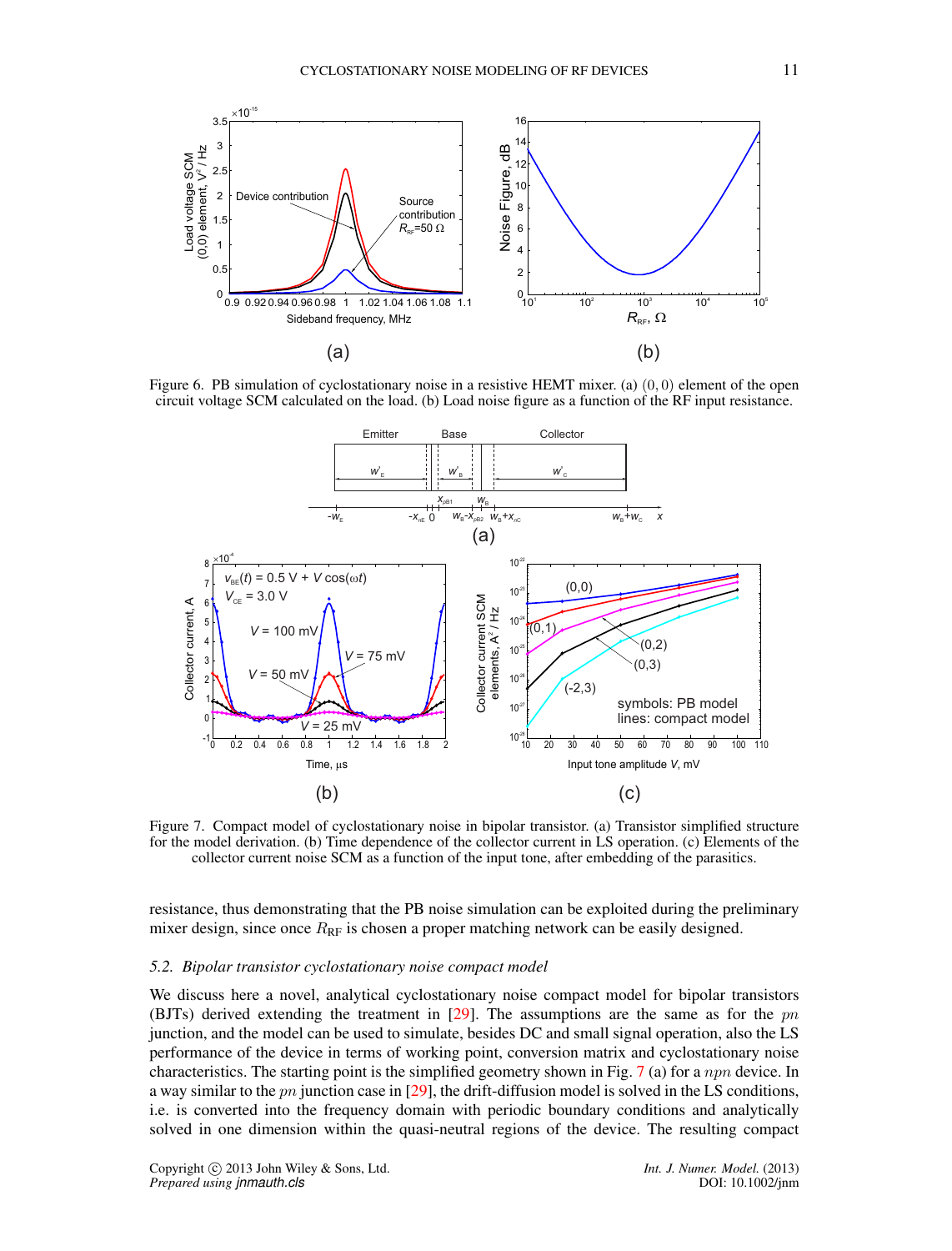

Figure 6. PB simulation of cyclostationary noise in a resistive HEMT mixer. (a) (0,0) element of the open circuit voltage SCM calculated on the load. (b) Load noise figure as a function of the RF input resistance.



Figure 7. Compact model of cyclostationary noise in bipolar transistor. (a) Transistor simplified structure for the model derivation. (b) Time dependence of the collector current in LS operation. (c) Elements of the collector current noise SCM as a function of the input tone, after embedding of the parasitics.

resistance, thus demonstrating that the PB noise simulation can be exploited during the preliminary mixer design, since once  $R_{RF}$  is chosen a proper matching network can be easily designed.

### *5.2. Bipolar transistor cyclostationary noise compact model*

We discuss here a novel, analytical cyclostationary noise compact model for bipolar transistors (BJTs) derived extending the treatment in  $[29]$ . The assumptions are the same as for the pn junction, and the model can be used to simulate, besides DC and small signal operation, also the LS performance of the device in terms of working point, conversion matrix and cyclostationary noise characteristics. The starting point is the simplified geometry shown in Fig. 7 (a) for a npn device. In a way similar to the pn junction case in [29], the drift-diffusion model is solved in the LS conditions, i.e. is converted into the frequency domain with periodic boundary conditions and analytically solved in one dimension within the quasi-neutral regions of the device. The resulting compact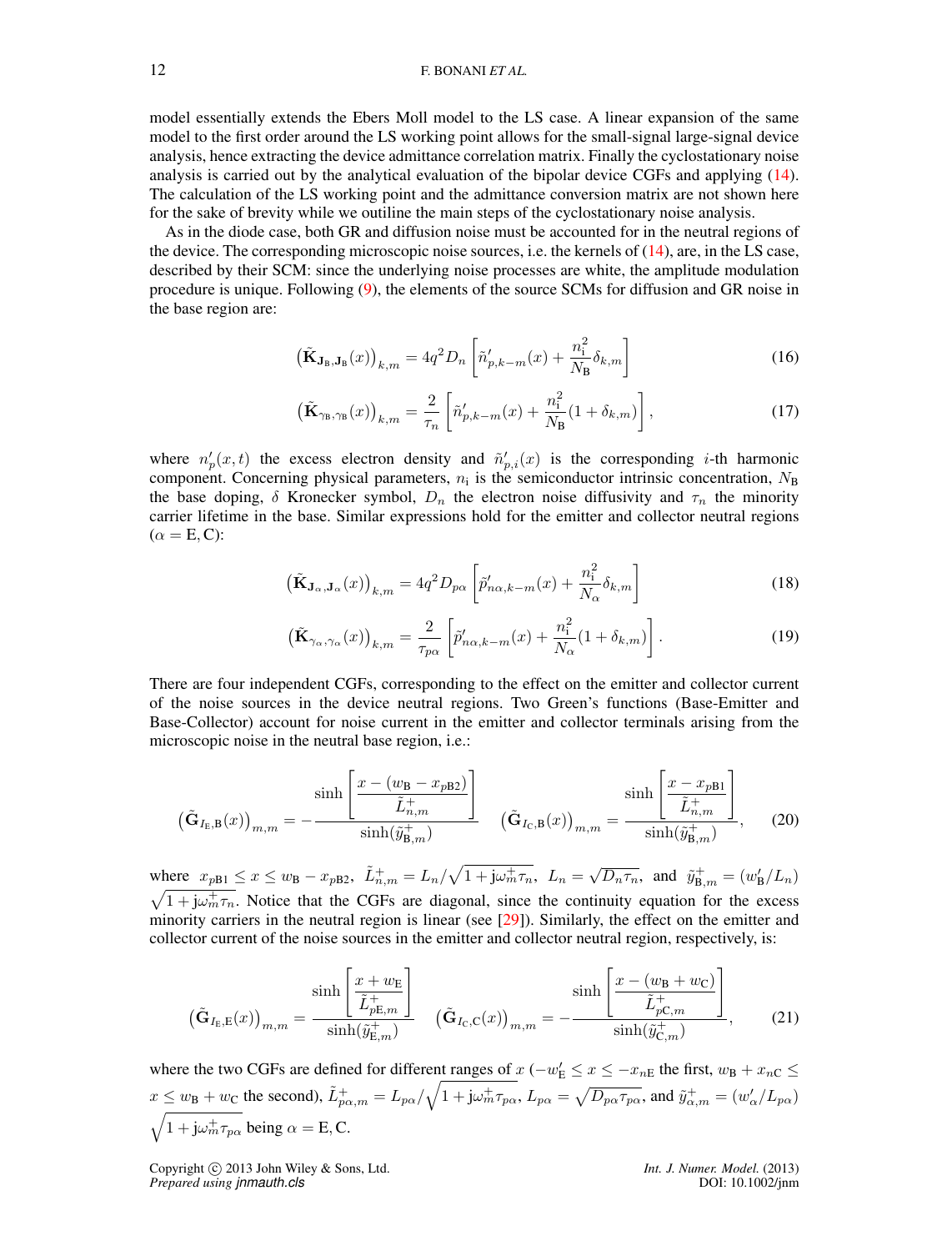model essentially extends the Ebers Moll model to the LS case. A linear expansion of the same model to the first order around the LS working point allows for the small-signal large-signal device analysis, hence extracting the device admittance correlation matrix. Finally the cyclostationary noise analysis is carried out by the analytical evaluation of the bipolar device CGFs and applying (14). The calculation of the LS working point and the admittance conversion matrix are not shown here for the sake of brevity while we outiline the main steps of the cyclostationary noise analysis.

As in the diode case, both GR and diffusion noise must be accounted for in the neutral regions of the device. The corresponding microscopic noise sources, i.e. the kernels of  $(14)$ , are, in the LS case, described by their SCM: since the underlying noise processes are white, the amplitude modulation procedure is unique. Following (9), the elements of the source SCMs for diffusion and GR noise in the base region are:

$$
\left(\tilde{\mathbf{K}}_{\mathbf{J}_{\mathbf{B}},\mathbf{J}_{\mathbf{B}}}(x)\right)_{k,m} = 4q^2 D_n \left[\tilde{n}'_{p,k-m}(x) + \frac{n_i^2}{N_{\mathbf{B}}} \delta_{k,m}\right]
$$
\n(16)

$$
\left(\tilde{\mathbf{K}}_{\gamma_{\mathbf{B}},\gamma_{\mathbf{B}}}(x)\right)_{k,m} = \frac{2}{\tau_n} \left[ \tilde{n}'_{p,k-m}(x) + \frac{n_{\mathbf{i}}^2}{N_{\mathbf{B}}}(1+\delta_{k,m}) \right],\tag{17}
$$

where  $n'_p(x,t)$  the excess electron density and  $\tilde{n}'_{p,i}(x)$  is the corresponding *i*-th harmonic component. Concerning physical parameters,  $n_i$  is the semiconductor intrinsic concentration,  $N_B$ the base doping, δ Kronecker symbol,  $D_n$  the electron noise diffusivity and  $\tau_n$  the minority carrier lifetime in the base. Similar expressions hold for the emitter and collector neutral regions  $(\alpha = E, C)$ :

$$
\left(\tilde{\mathbf{K}}_{\mathbf{J}_{\alpha},\mathbf{J}_{\alpha}}(x)\right)_{k,m} = 4q^2 D_{p\alpha} \left[\tilde{p}'_{n\alpha,k-m}(x) + \frac{n_i^2}{N_{\alpha}} \delta_{k,m}\right]
$$
\n(18)

$$
\left(\tilde{\mathbf{K}}_{\gamma_{\alpha},\gamma_{\alpha}}(x)\right)_{k,m} = \frac{2}{\tau_{p\alpha}} \left[\tilde{p}'_{n\alpha,k-m}(x) + \frac{n_{\mathbf{i}}^2}{N_{\alpha}}(1+\delta_{k,m})\right].
$$
\n(19)

There are four independent CGFs, corresponding to the effect on the emitter and collector current of the noise sources in the device neutral regions. Two Green's functions (Base-Emitter and Base-Collector) account for noise current in the emitter and collector terminals arising from the microscopic noise in the neutral base region, i.e.:

$$
\left(\tilde{\mathbf{G}}_{I_{\mathrm{E}},\mathrm{B}}(x)\right)_{m,m} = -\frac{\sinh\left[\frac{x - (w_{\mathrm{B}} - x_{p\mathrm{B2}})}{\tilde{L}_{n,m}^{+}}\right]}{\sinh(\tilde{y}_{\mathrm{B},m}^{+})} \quad \left(\tilde{\mathbf{G}}_{I_{\mathrm{C}},\mathrm{B}}(x)\right)_{m,m} = \frac{\sinh\left[\frac{x - x_{p\mathrm{B1}}}{\tilde{L}_{n,m}^{+}}\right]}{\sinh(\tilde{y}_{\mathrm{B},m}^{+})},\tag{20}
$$

where  $x_{pB1} \le x \le w_B - x_{pB2}$ ,  $\tilde{L}_{n,m}^+ = L_n / \sqrt{1 + j \omega_m^+ \tau_n}$ ,  $L_n = \sqrt{D_n \tau_n}$ , and  $\tilde{y}_{B,m}^+ = (w_B'/L_n)$  $\sqrt{1+j\omega_m^{\dagger}\tau_n}$ . Notice that the CGFs are diagonal, since the continuity equation for the excess minority carriers in the neutral region is linear (see [29]). Similarly, the effect on the emitter and collector current of the noise sources in the emitter and collector neutral region, respectively, is:

$$
\left(\tilde{\mathbf{G}}_{I_{\mathrm{E}},\mathrm{E}}(x)\right)_{m,m} = \frac{\sinh\left[\frac{x+w_{\mathrm{E}}}{\tilde{L}_{p\mathrm{E},m}^{+}}\right]}{\sinh(\tilde{y}_{\mathrm{E},m}^{+})} \quad \left(\tilde{\mathbf{G}}_{I_{\mathrm{C}},\mathrm{C}}(x)\right)_{m,m} = -\frac{\sinh\left[\frac{x-(w_{\mathrm{B}}+w_{\mathrm{C}})}{\tilde{L}_{p\mathrm{C},m}^{+}}\right]}{\sinh(\tilde{y}_{\mathrm{C},m}^{+})},\tag{21}
$$

where the two CGFs are defined for different ranges of  $x$  ( $-w'_E \le x \le -x_{nE}$  the first,  $w_B + x_{nC} \le$  $x \leq w_B + w_C$  the second),  $\tilde{L}_{p\alpha,m}^+ = L_{p\alpha}/\sqrt{1 + j\omega_m^+ \tau_{p\alpha}}, L_{p\alpha} = \sqrt{D_{p\alpha}\tau_{p\alpha}},$  and  $\tilde{y}_{\alpha,m}^+ = (w_\alpha'/L_{p\alpha})$  $\sqrt{1 + j\omega_m^+ \tau_{p\alpha}}$  being  $\alpha =$  E, C.

Copyright © 2013 John Wiley & Sons, Ltd. *Int. J. Numer. Model.* (2013) *Prepared using jnmauth.cls* DOI: 10.1002/jnm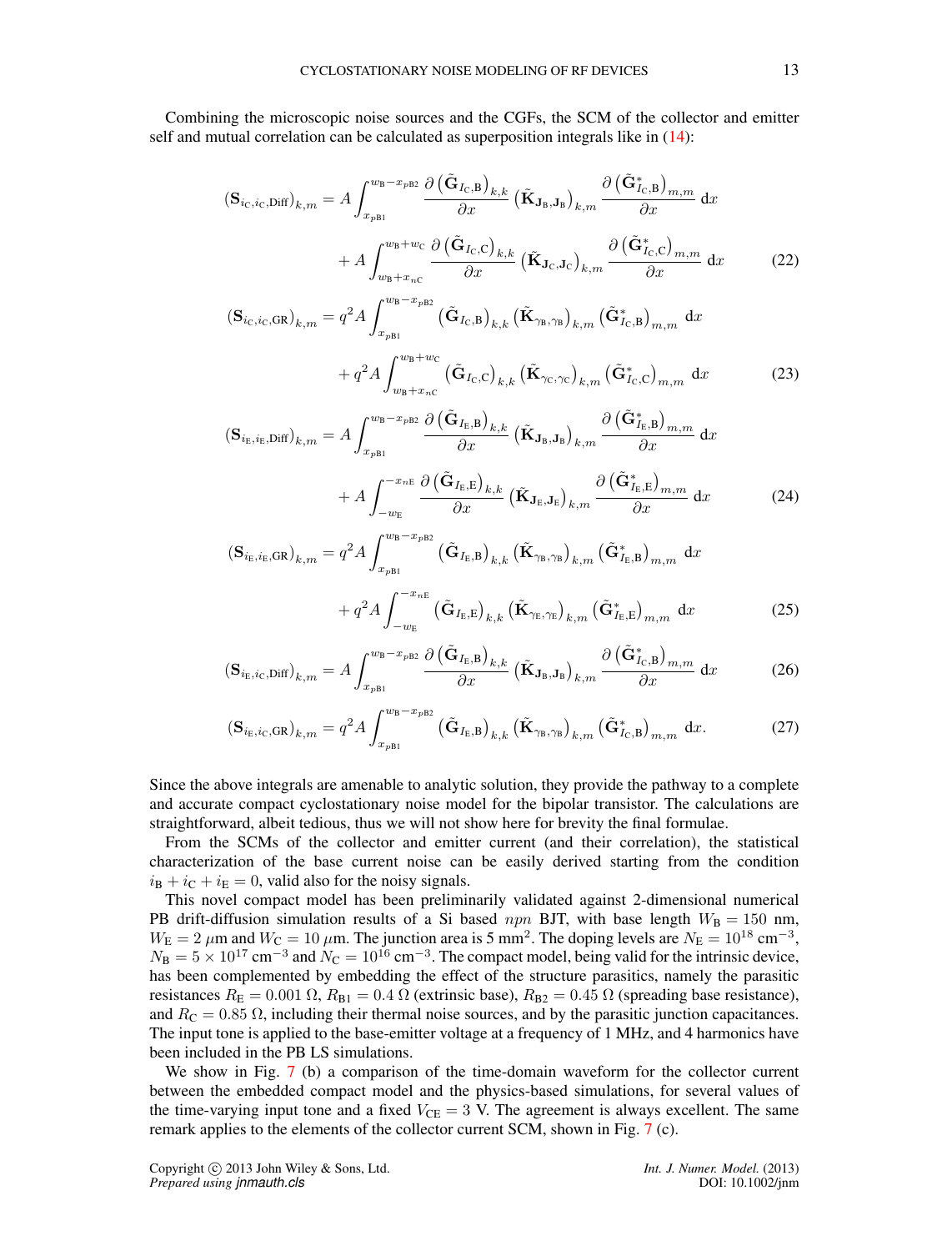Combining the microscopic noise sources and the CGFs, the SCM of the collector and emitter self and mutual correlation can be calculated as superposition integrals like in (14):

$$
\left(\mathbf{S}_{i_{\mathrm{C}},i_{\mathrm{C}},\mathrm{Diff}}\right)_{k,m} = A \int_{x_{pB1}}^{w_{\mathrm{B}} - x_{pB2}} \frac{\partial \left(\tilde{\mathbf{G}}_{I_{\mathrm{C}},\mathrm{B}}\right)_{k,k}}{\partial x} \left(\tilde{\mathbf{K}}_{\mathbf{J}_{\mathrm{B}},\mathbf{J}_{\mathrm{B}}}\right)_{k,m} \frac{\partial \left(\tilde{\mathbf{G}}_{I_{\mathrm{C}},\mathrm{B}}^{*}\right)_{m,m}}{\partial x} dx + A \int_{w_{\mathrm{B}} + x_{n\mathrm{C}}}^{w_{\mathrm{B}} + w_{\mathrm{C}}} \frac{\partial \left(\tilde{\mathbf{G}}_{I_{\mathrm{C}},\mathrm{C}}\right)_{k,k}}{\partial x} \left(\tilde{\mathbf{K}}_{\mathbf{J}_{\mathrm{C}},\mathbf{J}_{\mathrm{C}}}\right)_{k,m} \frac{\partial \left(\tilde{\mathbf{G}}_{I_{\mathrm{C}},\mathrm{C}}^{*}\right)_{m,m}}{\partial x} dx
$$
\n(22)

$$
\left(\mathbf{S}_{i_{\mathrm{C}},i_{\mathrm{C}},\mathrm{GR}}\right)_{k,m} = q^2 A \int_{x_{\mathrm{pBl}}}^{w_{\mathrm{B}}-x_{\mathrm{pBl}}} \left(\tilde{\mathbf{G}}_{I_{\mathrm{C}},\mathrm{B}}\right)_{k,k} \left(\tilde{\mathbf{K}}_{\gamma_{\mathrm{B}},\gamma_{\mathrm{B}}}\right)_{k,m} \left(\tilde{\mathbf{G}}_{I_{\mathrm{C}},\mathrm{B}}^*\right)_{m,m} dx + q^2 A \int_{w_{\mathrm{B}}+x_{\mathrm{pC}}}^{w_{\mathrm{B}}+w_{\mathrm{C}}} \left(\tilde{\mathbf{G}}_{I_{\mathrm{C}},\mathrm{C}}\right)_{k,k} \left(\tilde{\mathbf{K}}_{\gamma_{\mathrm{C}},\gamma_{\mathrm{C}}}\right)_{k,m} \left(\tilde{\mathbf{G}}_{I_{\mathrm{C}},\mathrm{C}}^*\right)_{m,m} dx
$$
\n(23)

$$
\left(\mathbf{S}_{i_{\mathrm{E}},i_{\mathrm{E}},\mathrm{Diff}}\right)_{k,m} = A \int_{x_{p\mathrm{B1}}}^{w_{\mathrm{B}}-x_{p\mathrm{B2}}} \frac{\partial \left(\tilde{\mathbf{G}}_{I_{\mathrm{E}},\mathbf{B}}\right)_{k,k}}{\partial x} \left(\tilde{\mathbf{K}}_{\mathbf{J}_{\mathrm{B}},\mathbf{J}_{\mathrm{B}}}\right)_{k,m} \frac{\partial \left(\tilde{\mathbf{G}}_{I_{\mathrm{E}},\mathbf{B}}^*\right)_{m,m}}{\partial x} dx + A \int_{-w_{\mathrm{E}}}^{-x_{n\mathrm{E}}} \frac{\partial \left(\tilde{\mathbf{G}}_{I_{\mathrm{E}},\mathbf{E}}\right)_{k,k}}{\partial x} \left(\tilde{\mathbf{K}}_{\mathbf{J}_{\mathrm{E}},\mathbf{J}_{\mathrm{E}}}\right)_{k,m} \frac{\partial \left(\tilde{\mathbf{G}}_{I_{\mathrm{E}},\mathbf{E}}^*\right)_{m,m}}{\partial x} dx
$$
\n(24)

$$
\left(\mathbf{S}_{i_{\mathrm{E}},i_{\mathrm{E}},\mathrm{GR}}\right)_{k,m} = q^2 A \int_{x_{pB1}}^{w_{\mathrm{B}}-x_{pB2}} \left(\tilde{\mathbf{G}}_{I_{\mathrm{E}},\mathrm{B}}\right)_{k,k} \left(\tilde{\mathbf{K}}_{\gamma_{\mathrm{B}},\gamma_{\mathrm{B}}}\right)_{k,m} \left(\tilde{\mathbf{G}}_{I_{\mathrm{E}},\mathrm{B}}^*\right)_{m,m} dx + q^2 A \int_{-w_{\mathrm{E}}}^{-x_{n\mathrm{E}}} \left(\tilde{\mathbf{G}}_{I_{\mathrm{E}},\mathrm{E}}\right)_{k,k} \left(\tilde{\mathbf{K}}_{\gamma_{\mathrm{E}},\gamma_{\mathrm{E}}}\right)_{k,m} \left(\tilde{\mathbf{G}}_{I_{\mathrm{E}},\mathrm{E}}^*\right)_{m,m} dx
$$
\n(25)

$$
\left(\mathbf{S}_{i_{\mathrm{E}},i_{\mathrm{C}},\mathrm{Diff}}\right)_{k,m} = A \int_{x_{p\mathrm{BI}}}^{w_{\mathrm{B}}-x_{p\mathrm{B}2}} \frac{\partial \left(\tilde{\mathbf{G}}_{I_{\mathrm{E}},\mathrm{B}}\right)_{k,k}}{\partial x} \left(\tilde{\mathbf{K}}_{\mathbf{J}_{\mathrm{B}},\mathbf{J}_{\mathrm{B}}}\right)_{k,m} \frac{\partial \left(\tilde{\mathbf{G}}_{I_{\mathrm{C}},\mathrm{B}}^{*}\right)_{m,m}}{\partial x} dx \tag{26}
$$

$$
\left(\mathbf{S}_{i_{\mathrm{E}},i_{\mathrm{C}},\mathrm{GR}}\right)_{k,m} = q^2 A \int_{x_{\mathrm{pBl}}}^{w_{\mathrm{B}}-x_{\mathrm{pBl}}} \left(\tilde{\mathbf{G}}_{I_{\mathrm{E}},\mathrm{B}}\right)_{k,k} \left(\tilde{\mathbf{K}}_{\gamma_{\mathrm{B}},\gamma_{\mathrm{B}}}\right)_{k,m} \left(\tilde{\mathbf{G}}_{I_{\mathrm{C}},\mathrm{B}}^*\right)_{m,m} \mathrm{d}x. \tag{27}
$$

Since the above integrals are amenable to analytic solution, they provide the pathway to a complete and accurate compact cyclostationary noise model for the bipolar transistor. The calculations are straightforward, albeit tedious, thus we will not show here for brevity the final formulae.

From the SCMs of the collector and emitter current (and their correlation), the statistical characterization of the base current noise can be easily derived starting from the condition  $i_{\text{B}} + i_{\text{C}} + i_{\text{E}} = 0$ , valid also for the noisy signals.

This novel compact model has been preliminarily validated against 2-dimensional numerical PB drift-diffusion simulation results of a Si based npn BJT, with base length  $W_B = 150$  nm,  $W_{\rm E} = 2 \ \mu$ m and  $W_{\rm C} = 10 \ \mu$ m. The junction area is 5 mm<sup>2</sup>. The doping levels are  $N_{\rm E} = 10^{18} \text{ cm}^{-3}$ ,  $N_{\rm B} = 5 \times 10^{17}$  cm<sup>-3</sup> and  $N_{\rm C} = 10^{16}$  cm<sup>-3</sup>. The compact model, being valid for the intrinsic device, has been complemented by embedding the effect of the structure parasitics, namely the parasitic resistances  $R_{\rm E} = 0.001 \Omega$ ,  $R_{\rm B1} = 0.4 \Omega$  (extrinsic base),  $R_{\rm B2} = 0.45 \Omega$  (spreading base resistance), and  $R_C = 0.85 \Omega$ , including their thermal noise sources, and by the parasitic junction capacitances. The input tone is applied to the base-emitter voltage at a frequency of 1 MHz, and 4 harmonics have been included in the PB LS simulations.

We show in Fig. 7 (b) a comparison of the time-domain waveform for the collector current between the embedded compact model and the physics-based simulations, for several values of the time-varying input tone and a fixed  $V_{\text{CE}} = 3$  V. The agreement is always excellent. The same remark applies to the elements of the collector current SCM, shown in Fig. 7 (c).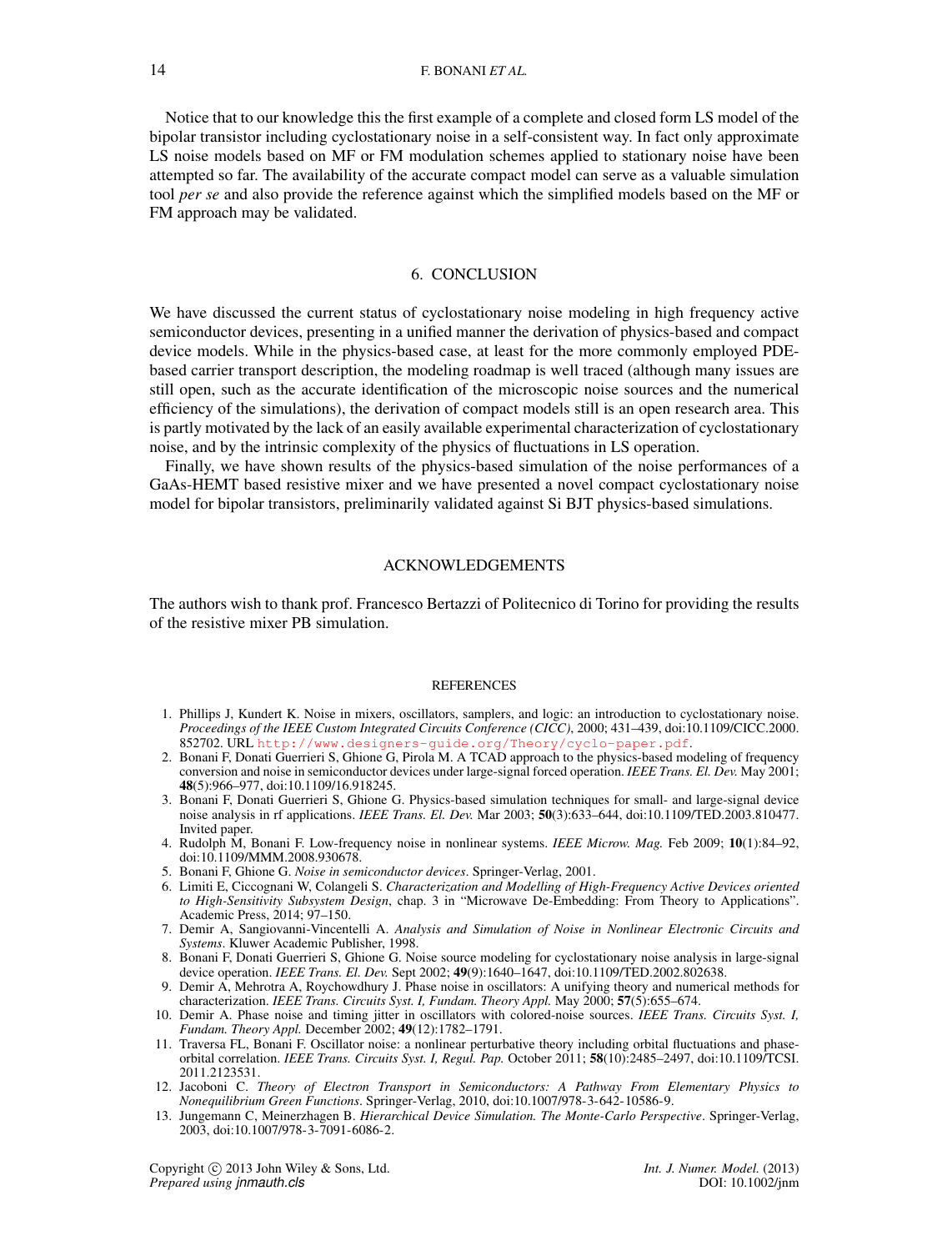Notice that to our knowledge this the first example of a complete and closed form LS model of the bipolar transistor including cyclostationary noise in a self-consistent way. In fact only approximate LS noise models based on MF or FM modulation schemes applied to stationary noise have been attempted so far. The availability of the accurate compact model can serve as a valuable simulation tool *per se* and also provide the reference against which the simplified models based on the MF or FM approach may be validated.

## 6. CONCLUSION

We have discussed the current status of cyclostationary noise modeling in high frequency active semiconductor devices, presenting in a unified manner the derivation of physics-based and compact device models. While in the physics-based case, at least for the more commonly employed PDEbased carrier transport description, the modeling roadmap is well traced (although many issues are still open, such as the accurate identification of the microscopic noise sources and the numerical efficiency of the simulations), the derivation of compact models still is an open research area. This is partly motivated by the lack of an easily available experimental characterization of cyclostationary noise, and by the intrinsic complexity of the physics of fluctuations in LS operation.

Finally, we have shown results of the physics-based simulation of the noise performances of a GaAs-HEMT based resistive mixer and we have presented a novel compact cyclostationary noise model for bipolar transistors, preliminarily validated against Si BJT physics-based simulations.

#### ACKNOWLEDGEMENTS

The authors wish to thank prof. Francesco Bertazzi of Politecnico di Torino for providing the results of the resistive mixer PB simulation.

### **REFERENCES**

- 1. Phillips J, Kundert K. Noise in mixers, oscillators, samplers, and logic: an introduction to cyclostationary noise. *Proceedings of the IEEE Custom Integrated Circuits Conference (CICC)*, 2000; 431–439, doi:10.1109/CICC.2000. 852702. URL <http://www.designers-guide.org/Theory/cyclo-paper.pdf>.
- 2. Bonani F, Donati Guerrieri S, Ghione G, Pirola M. A TCAD approach to the physics-based modeling of frequency conversion and noise in semiconductor devices under large-signal forced operation. *IEEE Trans. El. Dev.* May 2001; 48(5):966–977, doi:10.1109/16.918245.
- 3. Bonani F, Donati Guerrieri S, Ghione G. Physics-based simulation techniques for small- and large-signal device noise analysis in rf applications. *IEEE Trans. El. Dev.* Mar 2003; 50(3):633–644, doi:10.1109/TED.2003.810477. Invited paper.
- 4. Rudolph M, Bonani F. Low-frequency noise in nonlinear systems. *IEEE Microw. Mag.* Feb 2009; 10(1):84–92, doi:10.1109/MMM.2008.930678.
- 5. Bonani F, Ghione G. *Noise in semiconductor devices*. Springer-Verlag, 2001.
- 6. Limiti E, Ciccognani W, Colangeli S. *Characterization and Modelling of High-Frequency Active Devices oriented to High-Sensitivity Subsystem Design*, chap. 3 in "Microwave De-Embedding: From Theory to Applications". Academic Press, 2014; 97–150.
- 7. Demir A, Sangiovanni-Vincentelli A. *Analysis and Simulation of Noise in Nonlinear Electronic Circuits and Systems*. Kluwer Academic Publisher, 1998.
- 8. Bonani F, Donati Guerrieri S, Ghione G. Noise source modeling for cyclostationary noise analysis in large-signal device operation. *IEEE Trans. El. Dev.* Sept 2002; 49(9):1640–1647, doi:10.1109/TED.2002.802638.
- 9. Demir A, Mehrotra A, Roychowdhury J. Phase noise in oscillators: A unifying theory and numerical methods for characterization. *IEEE Trans. Circuits Syst. I, Fundam. Theory Appl.* May 2000; 57(5):655–674.
- 10. Demir A. Phase noise and timing jitter in oscillators with colored-noise sources. *IEEE Trans. Circuits Syst. I, Fundam. Theory Appl.* December 2002; 49(12):1782–1791.
- 11. Traversa FL, Bonani F. Oscillator noise: a nonlinear perturbative theory including orbital fluctuations and phaseorbital correlation. *IEEE Trans. Circuits Syst. I, Regul. Pap.* October 2011; 58(10):2485–2497, doi:10.1109/TCSI. 2011.2123531.
- 12. Jacoboni C. *Theory of Electron Transport in Semiconductors: A Pathway From Elementary Physics to Nonequilibrium Green Functions*. Springer-Verlag, 2010, doi:10.1007/978-3-642-10586-9.
- 13. Jungemann C, Meinerzhagen B. *Hierarchical Device Simulation. The Monte-Carlo Perspective*. Springer-Verlag, 2003, doi:10.1007/978-3-7091-6086-2.